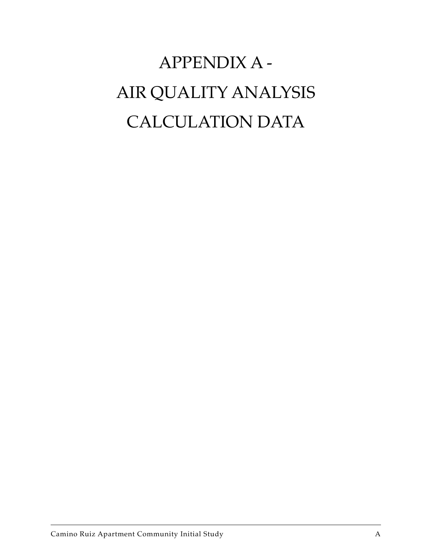# APPENDIX A - AIR QUALITY ANALYSIS CALCULATION DATA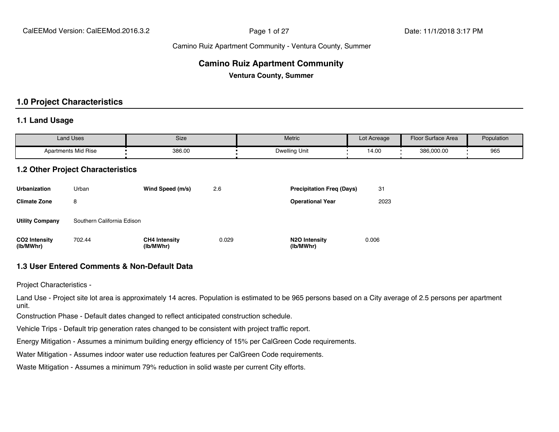#### **Camino Ruiz Apartment Community**

**Ventura County, Summer**

#### **1.0 Project Characteristics**

#### **1.1 Land Usage**

| <b>Land Uses</b>           | Size   | Metric        | Lot Acreage | Floor Surface Area | Population |
|----------------------------|--------|---------------|-------------|--------------------|------------|
| <b>Apartments Mid Rise</b> | 386.00 | Dwelling Unit | 14.00       | 386,000.00         | 965        |

#### **1.2 Other Project Characteristics**

| <b>Urbanization</b>                    | Urban                      | Wind Speed (m/s)                  | 2.6   | <b>Precipitation Freg (Days)</b>        | 31    |
|----------------------------------------|----------------------------|-----------------------------------|-------|-----------------------------------------|-------|
| <b>Climate Zone</b>                    | 8                          |                                   |       | <b>Operational Year</b>                 | 2023  |
| <b>Utility Company</b>                 | Southern California Edison |                                   |       |                                         |       |
| CO <sub>2</sub> Intensity<br>(lb/MWhr) | 702.44                     | <b>CH4 Intensity</b><br>(lb/MWhr) | 0.029 | N <sub>2</sub> O Intensity<br>(lb/MWhr) | 0.006 |

#### **1.3 User Entered Comments & Non-Default Data**

Project Characteristics -

Land Use - Project site lot area is approximately 14 acres. Population is estimated to be 965 persons based on a City average of 2.5 persons per apartment unit.

Construction Phase - Default dates changed to reflect anticipated construction schedule.

Vehicle Trips - Default trip generation rates changed to be consistent with project traffic report.

Energy Mitigation - Assumes a minimum building energy efficiency of 15% per CalGreen Code requirements.

Water Mitigation - Assumes indoor water use reduction features per CalGreen Code requirements.

Waste Mitigation - Assumes a minimum 79% reduction in solid waste per current City efforts.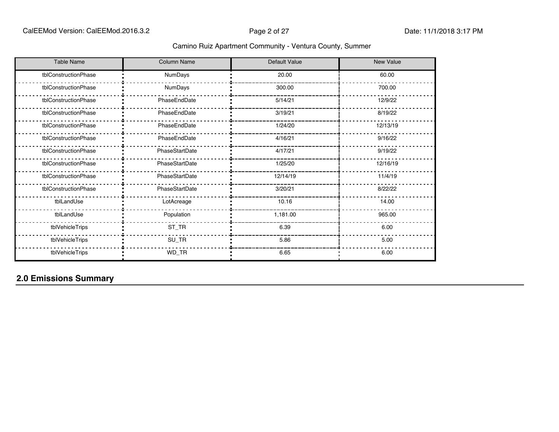| <b>Table Name</b>    | <b>Column Name</b> | Default Value | <b>New Value</b> |
|----------------------|--------------------|---------------|------------------|
| tblConstructionPhase | NumDays            | 20.00         | 60.00            |
| tblConstructionPhase | NumDays            | 300.00        | 700.00           |
| tblConstructionPhase | PhaseEndDate       | 5/14/21       | 12/9/22          |
| tblConstructionPhase | PhaseEndDate       | 3/19/21       | 8/19/22          |
| tblConstructionPhase | PhaseEndDate       | 1/24/20       | 12/13/19         |
| tblConstructionPhase | PhaseEndDate       | 4/16/21       | 9/16/22          |
| tblConstructionPhase | PhaseStartDate     | 4/17/21       | 9/19/22          |
| tblConstructionPhase | PhaseStartDate     | 1/25/20       | 12/16/19         |
| tblConstructionPhase | PhaseStartDate     | 12/14/19      | 11/4/19          |
| tblConstructionPhase | PhaseStartDate     | 3/20/21       | 8/22/22          |
| tblLandUse           | LotAcreage         | 10.16         | 14.00            |
| tblLandUse           | Population         | 1,181.00      | 965.00           |
| tblVehicleTrips      | ST_TR              | 6.39          | 6.00             |
| tblVehicleTrips      | SU_TR              | 5.86          | 5.00             |
| tblVehicleTrips      | WD_TR              | 6.65          | 6.00             |

#### **2.0 Emissions Summary**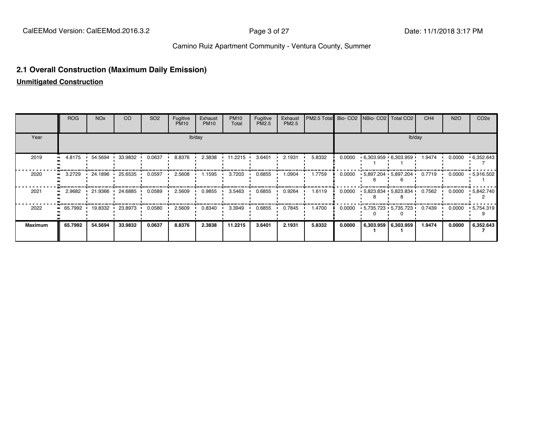#### **2.1 Overall Construction (Maximum Daily Emission)**

**Unmitigated Construction**

|                        | <b>ROG</b> | <b>NO<sub>x</sub></b> | <sub>CO</sub>   | SO <sub>2</sub> | Fugitive<br><b>PM10</b> | Exhaust<br><b>PM10</b> | <b>PM10</b><br>Total    | Fugitive<br>PM2.5 | Exhaust<br>PM2.5 | PM2.5 Total Bio- CO2 NBio- CO2 Total CO2 |        |                                   | CH <sub>4</sub> | <b>N2O</b> | CO <sub>2e</sub>  |
|------------------------|------------|-----------------------|-----------------|-----------------|-------------------------|------------------------|-------------------------|-------------------|------------------|------------------------------------------|--------|-----------------------------------|-----------------|------------|-------------------|
| Year                   |            |                       |                 |                 |                         | lb/day                 |                         |                   |                  |                                          |        | lb/day                            |                 |            |                   |
| 2019<br>$\blacksquare$ | 4.8175     | 54.5694               | 33.9832         | 0.0637          | 8.8376                  | 2.3838                 | $\cdot$ 11.2215 $\cdot$ | 3.6401            | 2.1931           | 5.8332                                   | 0.0000 | $6,303.959$ $6,303.959$           | 1.9474          | 0.0000     | .6,352.643        |
| 2020                   | 3.2729     | 24.1896 '             | 25.6535         | 0.0597          | 2.5608                  | 1.1595                 | 3.7203                  | 0.6855            | 1.0904           | 1.7759                                   | 0.0000 | $-5,897.204 - 5,897.204$          | 0.7719          | 0.0000     | $\cdot$ 5,916.502 |
| 2021                   | 2.9682     |                       | 21.9366 24.6885 | 0.0589          | 2.5609                  | 0.9855                 | 3.5463                  | 0.6855            | 0.9264           | 1.6119                                   | 0.0000 | $-5.823.834 - 5.823.834 - 0.7562$ |                 | 0.0000     | $\cdot$ 5,842.740 |
| 2022                   | 65.7992 •  |                       | 19.8332 23.8973 | 0.0580          | 2.5609                  | 0.8340                 | 3.3949                  | 0.6855            | 0.7845           | 1.4700                                   | 0.0000 | $-5.735.723 - 5.735.723 - 0.7439$ |                 | 0.0000     | $\cdot$ 5,754.319 |
| <b>Maximum</b>         | 65.7992    | 54.5694               | 33.9832         | 0.0637          | 8.8376                  | 2.3838                 | 11.2215                 | 3.6401            | 2.1931           | 5.8332                                   | 0.0000 | 6,303.959   6,303.959             | 1.9474          | 0.0000     | 6,352.643         |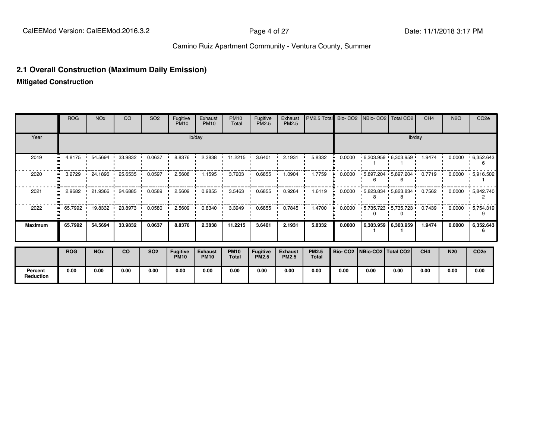#### **2.1 Overall Construction (Maximum Daily Emission)**

**Mitigated Construction**

**Percent Reduction**

|                | <b>ROG</b>        | <b>NO<sub>x</sub></b> | <sub>CO</sub> | SO <sub>2</sub> | Fugitive<br><b>PM10</b>        | Exhaust<br><b>PM10</b>        | <b>PM10</b><br>Total | Fugitive<br>PM2.5               | Exhaust<br>PM2.5               | PM2.5 Total           |        | Bio- CO2 NBio- CO2              | Total CO <sub>2</sub>        | CH <sub>4</sub>         | <b>N2O</b> | CO <sub>2e</sub>           |
|----------------|-------------------|-----------------------|---------------|-----------------|--------------------------------|-------------------------------|----------------------|---------------------------------|--------------------------------|-----------------------|--------|---------------------------------|------------------------------|-------------------------|------------|----------------------------|
| Year           |                   |                       |               |                 |                                | lb/day                        |                      |                                 |                                |                       |        |                                 |                              | lb/day                  |            |                            |
| 2019           | 4.8175            | 54.5694               | 33.9832       | 0.0637          | 8.8376                         | 2.3838                        | 11.2215              | 3.6401                          | 2.1931                         | 5.8332                | 0.0000 |                                 | $.6,303.959 \cdot 6,303.959$ | 1.9474                  | 0.0000     | $\cdot 6,352.643$          |
| 2020           | 3.2729            | 124.1896              | 25.6535       | 0.0597          | 2.5608                         | 1.1595                        | 3.7203               | 0.6855                          | 1.0904                         | 1.7759                | 0.0000 |                                 | $-5.897.204 - 5.897.204$     | $0.7719$ $\blacksquare$ | 0.0000     | .5,916.502                 |
| 2021           |                   | 2.9682 1 21.9366 1    | 24.6885       | 0.0589          | 2.5609                         | 0.9855                        | 3.5463               | 0.6855                          | 0.9264                         | 1.6119                | 0.0000 |                                 | $-5.823.834 - 5.823.834$     | 0.7562 ·                |            | $0.0000$ $\cdot$ 5.842.740 |
| 2022           | $65.7992$ $\cdot$ | 19.8332               | 23.8973       | 0.0580          | 2.5609                         | 0.8340                        | 3.3949               | 0.6855                          | 0.7845                         | 1.4700                | 0.0000 |                                 | $-5,735.723 - 5,735.723$     | 0.7439                  | 0.0000     | .5,754.319                 |
| <b>Maximum</b> | 65.7992           | 54.5694               | 33.9832       | 0.0637          | 8.8376                         | 2.3838                        | 11.2215              | 3.6401                          | 2.1931                         | 5.8332                | 0.0000 |                                 | 6,303.959 6,303.959          | 1.9474                  | 0.0000     | 6,352.643                  |
|                | <b>ROG</b>        | <b>NO<sub>x</sub></b> | co            | <b>SO2</b>      | <b>Fugitive</b><br><b>PM10</b> | <b>Exhaust</b><br><b>PM10</b> | <b>PM10</b><br>Total | <b>Fugitive</b><br><b>PM2.5</b> | <b>Exhaust</b><br><b>PM2.5</b> | <b>PM2.5</b><br>Total |        | Bio- CO2   NBio-CO2   Total CO2 |                              | CH <sub>4</sub>         | <b>N20</b> | CO <sub>2e</sub>           |

**0.00 0.00 0.00 0.00 0.00 0.00 0.00 0.00 0.00 0.00 0.00 0.00 0.00 0.00 0.00 0.00**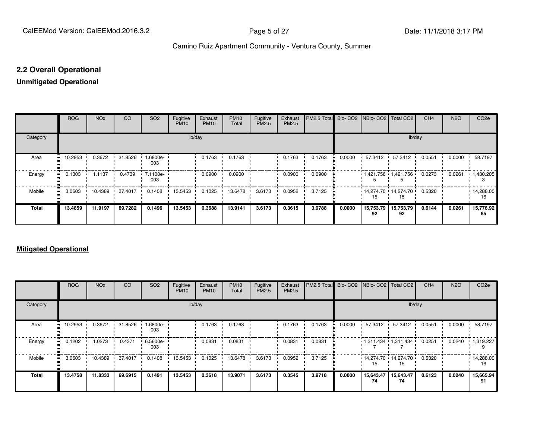#### **2.2 Overall Operational**

#### **Unmitigated Operational**

|          | <b>ROG</b>                 | <b>NO<sub>x</sub></b> | <b>CO</b> | SO <sub>2</sub>   | Fugitive<br><b>PM10</b> | Exhaust<br><b>PM10</b> | <b>PM10</b><br>Total | Fugitive<br>PM2.5 | Exhaust<br>PM2.5 | PM2.5 Total Bio- CO2 NBio- CO2 Total CO2 |        |                                   |                 | CH <sub>4</sub> | <b>N2O</b> | CO <sub>2e</sub>        |
|----------|----------------------------|-----------------------|-----------|-------------------|-------------------------|------------------------|----------------------|-------------------|------------------|------------------------------------------|--------|-----------------------------------|-----------------|-----------------|------------|-------------------------|
| Category |                            |                       |           |                   | lb/day                  |                        |                      |                   |                  |                                          |        |                                   | lb/day          |                 |            |                         |
| Area     | 10.2953<br>                | 0.3672                | 31.8526   | 1.6800e-<br>003   |                         | 0.1763                 | 0.1763               |                   | 0.1763           | 0.1763                                   | 0.0000 | 57.3412 .                         | 57.3412         | 0.0551          | 0.0000     | 58.7197                 |
| Energy   | 0.1303                     | 1.1137                | 0.4739    | 7.1100e- ·<br>003 |                         | 0.0900                 | 0.0900               |                   | 0.0900           | 0.0900                                   |        | $1,421.756$ $1,421.756$           |                 | 0.0273          | 0.0261     | $\cdot$ 1,430.205       |
| Mobile   | 3.0603<br>$\bullet\bullet$ | 10.4389 ·             | 37.4017   | 0.1408            | 13.5453                 | 0.1025                 | 13.6478              | 3.6173            | 0.0952           | 3.7125                                   |        | $14.274.70 \cdot 14.274.70$<br>15 | 15              | 0.5320          |            | $\cdot$ 14,288.00<br>16 |
| Total    | 13.4859                    | 11.9197               | 69.7282   | 0.1496            | 13.5453                 | 0.3688                 | 13.9141              | 3.6173            | 0.3615           | 3.9788                                   | 0.0000 | 15,753.79<br>92                   | 15,753.79<br>92 | 0.6144          | 0.0261     | 15,776.92<br>65         |

#### **Mitigated Operational**

|              | <b>ROG</b> | <b>NO<sub>x</sub></b> | <b>CO</b>       | SO <sub>2</sub> | Fugitive<br><b>PM10</b> | Exhaust<br><b>PM10</b> | <b>PM10</b><br>Total | Fugitive<br>PM2.5 | Exhaust<br>PM2.5 | <b>PM2.5 Total</b> Bio- CO2 NBio- CO2 Total CO2 |        |                                                          |                 | CH <sub>4</sub> | <b>N2O</b> | CO <sub>2</sub> e       |
|--------------|------------|-----------------------|-----------------|-----------------|-------------------------|------------------------|----------------------|-------------------|------------------|-------------------------------------------------|--------|----------------------------------------------------------|-----------------|-----------------|------------|-------------------------|
| Category     |            |                       |                 |                 |                         | lb/day                 |                      |                   |                  |                                                 |        |                                                          |                 | lb/day          |            |                         |
| Area         | 10.2953 ·  | 0.3672                | 31.8526         | --6800e<br>003  |                         | 0.1763                 | 0.1763               |                   | 0.1763           | 0.1763                                          | 0.0000 | 57.3412 .                                                | 57.3412         | 0.0551          | 0.0000     | 58.7197                 |
| Energy       | 0.1202     | 1.0273                | 0.4371          | 6.5600e-<br>003 |                         | 0.0831                 | 0.0831               |                   | 0.0831           | 0.0831                                          |        | $1,311.434$ $1,311.434$ 0.0251                           |                 |                 | 0.0240     | $\cdot$ 1,319.227       |
| Mobile       | 3.0603     | 10.4389               | $\cdot$ 37.4017 | 0.1408          | 13.5453                 | 0.1025                 | 13.6478              | 3.6173            | 0.0952           | 3.7125                                          |        | $\cdot$ 14,274.70 $\cdot$ 14,274.70 $\cdot$ 0.5320<br>15 | 15              |                 |            | $\cdot$ 14,288.00<br>16 |
| <b>Total</b> | 13.4758    | 11.8333               | 69.6915         | 0.1491          | 13.5453                 | 0.3618                 | 13.9071              | 3.6173            | 0.3545           | 3.9718                                          | 0.0000 | 15,643.47<br>74                                          | 15,643.47<br>74 | 0.6123          | 0.0240     | 15,665.94<br>91         |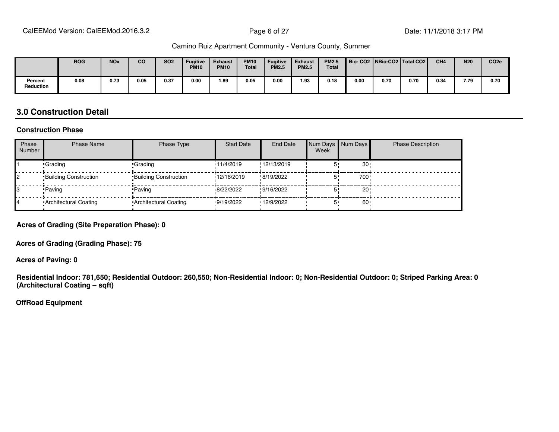|                      | <b>ROG</b> | <b>NO<sub>x</sub></b> | <b>CO</b> | <b>SO2</b> | <b>Fugitive</b><br><b>PM10</b> | <b>Exhaust</b><br><b>PM10</b> | <b>PM10</b><br><b>Total</b> | <b>Fugitive</b><br><b>PM2.5</b> | <b>Exhaust</b><br><b>PM2.5</b> | <b>PM2.5</b><br><b>Total</b> | Bio-CO2   NBio-CO2   Total CO2 |      |      | CH <sub>4</sub> | <b>N20</b> | CO <sub>2e</sub> |
|----------------------|------------|-----------------------|-----------|------------|--------------------------------|-------------------------------|-----------------------------|---------------------------------|--------------------------------|------------------------------|--------------------------------|------|------|-----------------|------------|------------------|
| Percent<br>Reduction | 0.08       | 0.73                  | 0.05      | 0.37       | 0.00                           | 1.89                          | 0.05                        | 0.00                            | 1.93                           | 0.18                         | 0.00                           | 0.70 | 0.70 | 0.34            | 7.79       | 0.70             |

#### **3.0 Construction Detail**

#### **Construction Phase**

| Phase<br><b>Number</b> | <b>Phase Name</b>            | Phase Type                   | <b>Start Date</b> | <b>End Date</b> | Week | Num Days Num Days | <b>Phase Description</b> |
|------------------------|------------------------------|------------------------------|-------------------|-----------------|------|-------------------|--------------------------|
|                        | •Grading                     | •Grading                     | 11/4/2019         | !12/13/2019     |      | 30                |                          |
|                        | <b>Building Construction</b> | <b>Building Construction</b> | 12/16/2019        | !8/19/2022      |      | 700               |                          |
|                        | • Paving                     | • Paving                     | 18/22/2022        | !9/16/2022      |      | 20                |                          |
|                        | • Architectural Coating      | • Architectural Coating      | ·9/19/2022        | '12/9/2022      |      | 60                |                          |

**Acres of Grading (Site Preparation Phase): 0**

**Acres of Grading (Grading Phase): 75**

**Acres of Paving: 0**

**Residential Indoor: 781,650; Residential Outdoor: 260,550; Non-Residential Indoor: 0; Non-Residential Outdoor: 0; Striped Parking Area: 0 (Architectural Coating – sqft)**

#### **OffRoad Equipment**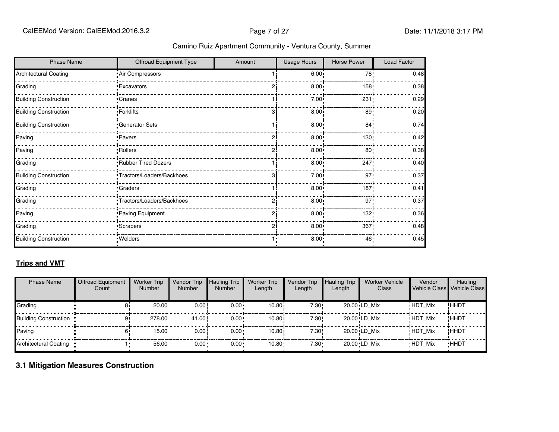| <b>Phase Name</b>            | Offroad Equipment Type    | Amount | Usage Hours       | <b>Horse Power</b> | Load Factor |
|------------------------------|---------------------------|--------|-------------------|--------------------|-------------|
| <b>Architectural Coating</b> | Air Compressors           |        | 6.00:             | 78!                | 0.48        |
| Grading                      | Excavators                |        | 8.00 <sub>1</sub> | 158!               | 0.38        |
| <b>Building Construction</b> | Cranes <sup>-</sup>       |        | 7.00:             | 231                | 0.29        |
| <b>Building Construction</b> | -Forklifts                | 3      | $8.00 -$          | 89:                | 0.20        |
| <b>Building Construction</b> | <b>Generator Sets</b>     |        | $8.00 -$          | 84 <sub>1</sub>    | 0.74        |
| Paving                       | Pavers                    |        | $8.00 -$          | 130!               | 0.42        |
| Paving                       | Rollers <sup>-</sup>      |        | 8.00 <sub>1</sub> | 80:                | 0.38        |
| Grading                      | Rubber Tired Dozers       |        | 8.00 <sub>1</sub> | 247!               | 0.40        |
| <b>Building Construction</b> | Tractors/Loaders/Backhoes |        | 7.00 <sub>1</sub> | 97'                | 0.37        |
| Grading                      | <b>Craders</b>            |        | $8.00 -$          | 187!               | 0.41        |
| Grading                      | Tractors/Loaders/Backhoes |        | 8.00 <sub>1</sub> | 97!                | 0.37        |
| Paving                       | Paving Equipment          |        | $8.00 -$          | 132!               | 0.36        |
| Grading                      | Scrapers                  | っ      | $8.00 -$          | 367!               | 0.48        |
| <b>Building Construction</b> | · Welders                 |        | $8.00 -$          | 46'                | 0.45        |

#### **Trips and VMT**

| <b>Phase Name</b>              | <b>Offroad Equipment</b><br>Count | <b>Worker Trip</b><br><b>Number</b> | Vendor Trip<br><b>Number</b> | <b>Hauling Trip</b><br><b>Number</b> | <b>Worker Trip</b><br>Length | <b>Vendor Trip</b><br>Length | <b>Hauling Trip</b><br>Length | <b>Worker Vehicle</b><br>Class | Vendor         | Hauling<br>Vehicle Class Vehicle Class |
|--------------------------------|-----------------------------------|-------------------------------------|------------------------------|--------------------------------------|------------------------------|------------------------------|-------------------------------|--------------------------------|----------------|----------------------------------------|
| Grading                        | 81                                | $20.00 \cdot$                       | 0.00!                        | $0.00 \cdot$                         | 10.80i                       | 7.30!                        |                               | 20.00 LD Mix                   | <b>HDT Mix</b> | ! ННDТ                                 |
| <b>Building Construction •</b> | 91                                | 278.00                              | 41.00                        | $0.00 \cdot$                         | 10.80i                       | 7.30!                        |                               | 20.00 LD Mix                   | <b>HDT Mix</b> | ! ННDТ                                 |
| Paving                         |                                   | $15.00 \cdot$                       | 0.00!                        | $0.00 \cdot$                         | 10.80i                       | 7.30!                        |                               | 20.00 LD Mix                   | <b>HDT Mix</b> | ! ННDТ                                 |
| Architectural Coating •        |                                   | $56.00 \cdot$                       | $0.00 -$                     | $0.00 \cdot$                         | $10.80 -$                    | $7.30 -$                     |                               | 20.00 LD Mix                   | <b>HDT Mix</b> | <b>HHDT</b>                            |

#### **3.1 Mitigation Measures Construction**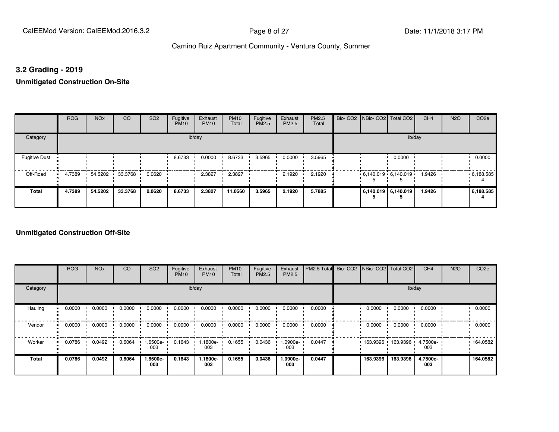#### **3.2 Grading - 2019**

**Unmitigated Construction On-Site**

|                      | <b>ROG</b>                 | <b>NO<sub>x</sub></b> | CO      | SO <sub>2</sub> | Fugitive<br><b>PM10</b> | Exhaust<br><b>PM10</b> | <b>PM10</b><br>Total | Fugitive<br>PM2.5 | Exhaust<br>PM2.5 | PM2.5<br>Total | Bio- CO2   NBio- CO2   Total CO2 |                     | CH <sub>4</sub> | <b>N2O</b> | CO <sub>2e</sub> |
|----------------------|----------------------------|-----------------------|---------|-----------------|-------------------------|------------------------|----------------------|-------------------|------------------|----------------|----------------------------------|---------------------|-----------------|------------|------------------|
| Category             |                            |                       |         |                 |                         | lb/day                 |                      |                   |                  |                |                                  | lb/day              |                 |            |                  |
| <b>Fugitive Dust</b> |                            |                       |         |                 | 8.6733                  | 0.0000                 | 8.6733               | 3.5965            | 0.0000           | 3.5965         |                                  | 0.0000              |                 |            | 0.0000           |
| Off-Road             | 4.7389<br>$\bullet\bullet$ | 54.5202               | 33.3768 | 0.0620          |                         | 2.3827                 | 2.3827               |                   | 2.1920           | 2.1920         | $6,140.019$ 6,140.019            |                     | 1.9426          |            | .6,188.585       |
| Total                | 4.7389                     | 54.5202               | 33.3768 | 0.0620          | 8.6733                  | 2.3827                 | 11.0560              | 3.5965            | 2.1920           | 5.7885         |                                  | 6,140.019 6,140.019 | 1.9426          |            | 6,188.585        |

|                     | <b>ROG</b>               | <b>NO<sub>x</sub></b> | CO     | SO <sub>2</sub> | Fugitive<br><b>PM10</b> | Exhaust<br><b>PM10</b> | <b>PM10</b><br>Total | Fugitive<br><b>PM2.5</b> | Exhaust<br>PM2.5 | PM2.5 Total Bio- CO2 NBio- CO2 Total CO2 |          |                     | CH <sub>4</sub> | <b>N2O</b> | CO <sub>2e</sub> |
|---------------------|--------------------------|-----------------------|--------|-----------------|-------------------------|------------------------|----------------------|--------------------------|------------------|------------------------------------------|----------|---------------------|-----------------|------------|------------------|
| Category            |                          |                       |        |                 |                         | lb/day                 |                      |                          |                  |                                          |          | lb/day              |                 |            |                  |
| Hauling             | 0.0000<br>$\blacksquare$ | 0.0000                | 0.0000 | 0.0000          | 0.0000                  | 0.0000                 | 0.0000               | 0.0000                   | 0.0000           | 0.0000                                   | 0.0000   | 0.0000              | 0.0000          |            | 0.0000           |
| Vendor<br>$\bullet$ | 0.0000                   | 0.0000                | 0.0000 | 0.0000          | 0.0000                  | 0.0000                 | 0.0000               | 0.0000                   | 0.0000           | 0.0000                                   | 0.0000   | 0.0000              | 0.0000          |            | 0.0000           |
| Worker<br>$\bullet$ | 0.0786                   | 0.0492                | 0.6064 | -6500e-<br>003  | 0.1643                  | .1800e-<br>003         | 0.1655               | 0.0436                   | -.0900e<br>003   | 0.0447                                   |          | 163.9396 163.9396 1 | 4.7500e-<br>003 |            | 164.0582         |
| <b>Total</b>        | 0.0786                   | 0.0492                | 0.6064 | 1.6500e-<br>003 | 0.1643                  | 1.1800e-<br>003        | 0.1655               | 0.0436                   | -.0900e<br>003   | 0.0447                                   | 163.9396 | 163.9396            | 4.7500e-<br>003 |            | 164.0582         |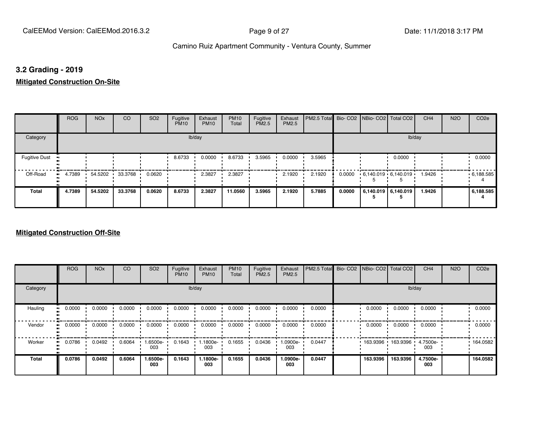#### **3.2 Grading - 2019**

**Mitigated Construction On-Site**

|                      | <b>ROG</b>          | <b>NO<sub>x</sub></b> | CO      | SO <sub>2</sub> | Fugitive<br><b>PM10</b> | Exhaust<br><b>PM10</b> | <b>PM10</b><br>Total | Fugitive<br><b>PM2.5</b> | Exhaust<br>PM2.5 | PM2.5 Total Bio- CO2 NBio- CO2 Total CO2 |        |                             |                     | CH <sub>4</sub> | <b>N2O</b> | CO <sub>2e</sub> |
|----------------------|---------------------|-----------------------|---------|-----------------|-------------------------|------------------------|----------------------|--------------------------|------------------|------------------------------------------|--------|-----------------------------|---------------------|-----------------|------------|------------------|
| Category             |                     |                       |         |                 |                         | lb/day                 |                      |                          |                  |                                          |        |                             | lb/day              |                 |            |                  |
| <b>Fugitive Dust</b> |                     |                       |         |                 | 8.6733                  | 0.0000                 | 8.6733               | 3.5965                   | 0.0000           | 3.5965                                   |        |                             | 0.0000              |                 |            | 0.0000           |
| Off-Road             | 4.7389<br>$\bullet$ | 54.5202               | 33.3768 | 0.0620          |                         | 2.3827                 | 2.3827               |                          | 2.1920           | 2.1920                                   | 0.0000 | $6,140.019 \cdot 6,140.019$ |                     | 1.9426          |            | .6,188.585       |
| <b>Total</b>         | 4.7389              | 54.5202               | 33.3768 | 0.0620          | 8.6733                  | 2.3827                 | 11.0560              | 3.5965                   | 2.1920           | 5.7885                                   | 0.0000 |                             | 6,140.019 6,140.019 | 1.9426          |            | 6,188.585        |

|              | <b>ROG</b>               | <b>NO<sub>x</sub></b> | CO     | SO <sub>2</sub> | Fugitive<br><b>PM10</b> | Exhaust<br><b>PM10</b> | <b>PM10</b><br>Total | Fugitive<br><b>PM2.5</b> | Exhaust<br>PM2.5 | PM2.5 Total Bio- CO2 NBio- CO2 Total CO2 |          |                     | CH <sub>4</sub> | <b>N2O</b> | CO <sub>2e</sub> |
|--------------|--------------------------|-----------------------|--------|-----------------|-------------------------|------------------------|----------------------|--------------------------|------------------|------------------------------------------|----------|---------------------|-----------------|------------|------------------|
| Category     |                          |                       |        |                 |                         | lb/day                 |                      |                          |                  |                                          |          |                     | lb/day          |            |                  |
| Hauling      | 0.0000<br>$\blacksquare$ | 0.0000                | 0.0000 | 0.0000          | 0.0000                  | 0.0000                 | 0.0000               | 0.0000                   | 0.0000           | 0.0000                                   | 0.0000   | 0.0000              | 0.0000          |            | 0.0000           |
| Vendor       | 0.0000<br>$\bullet$      | 0.0000                | 0.0000 | 0.0000          | 0.0000                  | 0.0000                 | 0.0000               | 0.0000                   | 0.0000           | 0.0000                                   | 0.0000   | 0.0000              | 0.0000          |            | 0.0000           |
| Worker       | 0.0786<br>$\bullet$      | 0.0492                | 0.6064 | -6500e.<br>003  | 0.1643                  | .1800e-<br>003         | 0.1655               | 0.0436                   | -.0900e<br>003   | 0.0447                                   |          | 163.9396 163.9396 1 | 4.7500e-<br>003 |            | .164.0582        |
| <b>Total</b> | 0.0786                   | 0.0492                | 0.6064 | 1.6500e-<br>003 | 0.1643                  | 1.1800e-<br>003        | 0.1655               | 0.0436                   | -.0900e<br>003   | 0.0447                                   | 163.9396 | 163.9396            | 4.7500e-<br>003 |            | 164.0582         |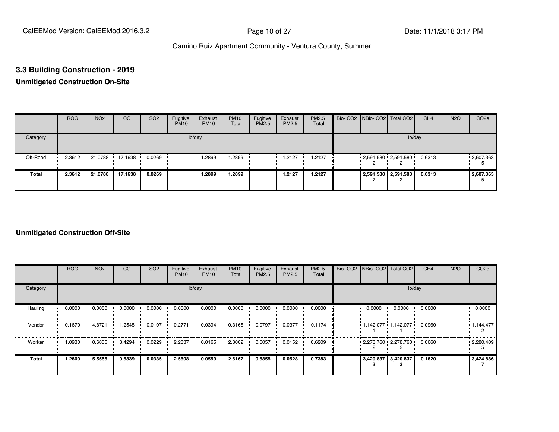## **3.3 Building Construction - 2019**

#### **Unmitigated Construction On-Site**

|              | <b>ROG</b>           | <b>NO<sub>x</sub></b> | <b>CO</b> | SO <sub>2</sub> | Fugitive<br><b>PM10</b> | Exhaust<br><b>PM10</b> | <b>PM10</b><br>Total | Fugitive<br><b>PM2.5</b> | Exhaust<br>PM2.5 | PM2.5<br>Total |  | Bio- CO2   NBio- CO2   Total CO2 | CH <sub>4</sub> | <b>N2O</b> | CO <sub>2e</sub> |
|--------------|----------------------|-----------------------|-----------|-----------------|-------------------------|------------------------|----------------------|--------------------------|------------------|----------------|--|----------------------------------|-----------------|------------|------------------|
| Category     |                      |                       |           |                 |                         | lb/day                 |                      |                          |                  |                |  | lb/day                           |                 |            |                  |
| Off-Road     | 2.3612<br><b>ALC</b> | 21.0788               | 17.1638   | 0.0269          |                         | .2899                  | .2899                |                          | 1.2127           | 1.2127         |  | $2,591.580$ $2,591.580$ $\cdot$  | 0.6313          |            | .2607.363        |
| <b>Total</b> | 2.3612               | 21.0788               | 17.1638   | 0.0269          |                         | 1.2899                 | 1.2899               |                          | 1.2127           | 1.2127         |  | 2,591.580 2,591.580<br>2         | 0.6313          |            | 2,607.363        |

|                      | <b>ROG</b> | <b>NO<sub>x</sub></b> | CO     | SO <sub>2</sub> | Fugitive<br><b>PM10</b> | Exhaust<br><b>PM10</b> | <b>PM10</b><br>Total | Fugitive<br><b>PM2.5</b> | Exhaust<br>PM2.5 | PM2.5<br>Total |           | Bio- CO2   NBio- CO2   Total CO2 | CH <sub>4</sub> | <b>N2O</b> | CO <sub>2e</sub>  |
|----------------------|------------|-----------------------|--------|-----------------|-------------------------|------------------------|----------------------|--------------------------|------------------|----------------|-----------|----------------------------------|-----------------|------------|-------------------|
| Category             |            |                       |        |                 | lb/day                  |                        |                      |                          |                  |                |           | lb/day                           |                 |            |                   |
| Hauling<br>$\bullet$ | 0.0000     | 0.0000                | 0.0000 | 0.0000          | 0.0000                  | 0.0000                 | 0.0000               | 0.0000                   | 0.0000           | 0.0000         | 0.0000    | 0.0000                           | 0.0000          |            | 0.0000            |
| Vendor<br>ш.         | 0.1670     | 4.8721                | 1.2545 | 0.0107          | 0.2771                  | 0.0394                 | 0.3165               | 0.0797                   | 0.0377           | 0.1174         |           | $1,142.077$ $1,142.077$          | 0.0960          |            | .1144.477         |
| Worker<br>œ          | 1.0930     | 0.6835                | 8.4294 | 0.0229          | 2.2837                  | 0.0165                 | 2.3002               | 0.6057                   | 0.0152           | 0.6209         |           | $2,278.760$ $2,278.760$          | 0.0660          |            | $\cdot$ 2,280.409 |
| Total                | 1.2600     | 5.5556                | 9.6839 | 0.0335          | 2.5608                  | 0.0559                 | 2.6167               | 0.6855                   | 0.0528           | 0.7383         | 3,420.837 | 3,420.837                        | 0.1620          |            | 3,424.886         |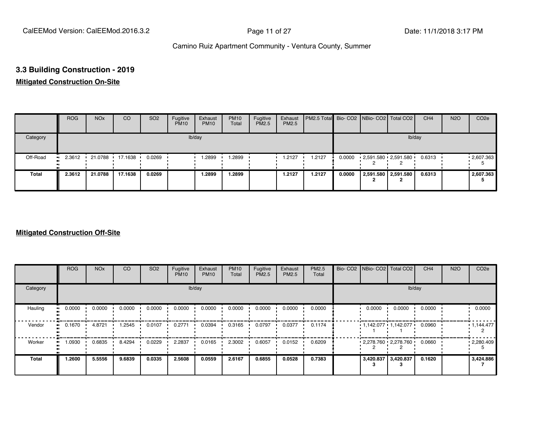### **3.3 Building Construction - 2019**

#### **Mitigated Construction On-Site**

|              | <b>ROG</b>          | <b>NO<sub>x</sub></b> | CO              | SO <sub>2</sub> | Fugitive<br><b>PM10</b> | Exhaust<br><b>PM10</b> | <b>PM10</b><br>Total | Fugitive<br>PM2.5 | Exhaust<br>PM2.5 | PM2.5 Total Bio- CO2 NBio- CO2 Total CO2 |        |                                 | CH <sub>4</sub> | <b>N2O</b> | CO <sub>2e</sub> |
|--------------|---------------------|-----------------------|-----------------|-----------------|-------------------------|------------------------|----------------------|-------------------|------------------|------------------------------------------|--------|---------------------------------|-----------------|------------|------------------|
| Category     |                     |                       |                 |                 |                         | lb/day                 |                      |                   |                  |                                          |        | lb/day                          |                 |            |                  |
| Off-Road     | 2.3612<br>$\bullet$ |                       | 21.0788 17.1638 | 0.0269          |                         | 2899. ا                | 1.2899               |                   | 1.2127           | 1.2127                                   | 0.0000 | $2,591.580$ $2,591.580$ $\cdot$ | 0.6313          |            | .2607.363        |
| <b>Total</b> | 2.3612              | 21.0788               | 17.1638         | 0.0269          |                         | 1.2899                 | 1.2899               |                   | 1.2127           | 1.2127                                   | 0.0000 | 2,591.580 2,591.580             | 0.6313          |            | 2,607.363        |

|              | <b>ROG</b> | <b>NO<sub>x</sub></b> | CO     | SO <sub>2</sub> | Fugitive<br><b>PM10</b> | Exhaust<br><b>PM10</b> | <b>PM10</b><br>Total | Fugitive<br>PM2.5 | Exhaust<br>PM2.5 | PM2.5<br>Total |           | Bio- CO2   NBio- CO2   Total CO2 | CH <sub>4</sub> | <b>N2O</b> | CO <sub>2e</sub> |
|--------------|------------|-----------------------|--------|-----------------|-------------------------|------------------------|----------------------|-------------------|------------------|----------------|-----------|----------------------------------|-----------------|------------|------------------|
| Category     |            |                       |        |                 |                         | lb/day                 |                      |                   |                  |                |           | lb/day                           |                 |            |                  |
| Hauling      | 0.0000     | 0.0000                | 0.0000 | 0.0000          | 0.0000                  | 0.0000                 | 0.0000               | 0.0000            | 0.0000           | 0.0000         | 0.0000    | 0.0000                           | 0.0000          |            | 0.0000           |
| Vendor       | 0.1670     | 4.8721                | 1.2545 | 0.0107          | 0.2771                  | 0.0394                 | 0.3165               | 0.0797            | 0.0377           | 0.1174         |           | $1,142.077$ $1,142.077$          | 0.0960          |            | 1,144.477        |
| Worker       | 1.0930     | 0.6835                | 8.4294 | 0.0229          | 2.2837                  | 0.0165                 | 2.3002               | 0.6057            | 0.0152           | 0.6209         |           | $2,278.760$ $2,278.760$          | 0.0660          |            | .2,280.409       |
| <b>Total</b> | 1.2600     | 5.5556                | 9.6839 | 0.0335          | 2.5608                  | 0.0559                 | 2.6167               | 0.6855            | 0.0528           | 0.7383         | 3,420.837 | 3,420.837<br>з                   | 0.1620          |            | 3,424.886        |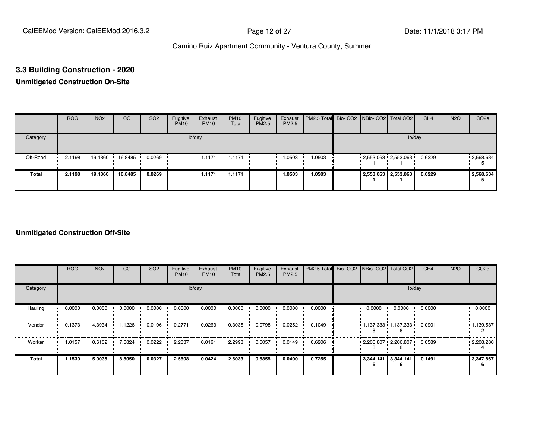# **3.3 Building Construction - 2020**

#### **Unmitigated Construction On-Site**

|              | <b>ROG</b>          | <b>NO<sub>x</sub></b> | <b>CO</b> | SO <sub>2</sub> | Fugitive<br><b>PM10</b> | Exhaust<br><b>PM10</b> | <b>PM10</b><br>Total  | Fugitive<br>PM2.5 | Exhaust<br>PM2.5 | PM2.5 Total Bio- CO2 NBio- CO2 Total CO2 |  |                         | CH <sub>4</sub> | <b>N2O</b> | CO <sub>2e</sub> |
|--------------|---------------------|-----------------------|-----------|-----------------|-------------------------|------------------------|-----------------------|-------------------|------------------|------------------------------------------|--|-------------------------|-----------------|------------|------------------|
| Category     |                     |                       |           |                 |                         | lb/day                 |                       |                   |                  |                                          |  | lb/day                  |                 |            |                  |
| Off-Road     | 2.1198<br>$\bullet$ | 19.1860               | 16.8485   | 0.0269          |                         | 1.1171                 | $\blacksquare$ 1.1171 |                   | 1.0503           | 1.0503                                   |  | $2,553.063$ $2,553.063$ | 0.6229          |            | .2,568.634       |
| <b>Total</b> | 2.1198              | 19.1860               | 16.8485   | 0.0269          |                         | 1.1171                 | 1.1171                |                   | 1.0503           | 1.0503                                   |  | 2,553.063 2,553.063     | 0.6229          |            | 2,568.634        |

|                      | <b>ROG</b> | <b>NO<sub>x</sub></b> | CO     | SO <sub>2</sub> | Fugitive<br><b>PM10</b> | Exhaust<br><b>PM10</b> | <b>PM10</b><br>Total | Fugitive<br>PM2.5 | Exhaust<br>PM2.5 | PM2.5 Total Bio- CO2 NBio- CO2 Total CO2 |                |                                     | CH <sub>4</sub> | <b>N2O</b> | CO <sub>2e</sub> |
|----------------------|------------|-----------------------|--------|-----------------|-------------------------|------------------------|----------------------|-------------------|------------------|------------------------------------------|----------------|-------------------------------------|-----------------|------------|------------------|
| Category             |            |                       |        |                 |                         | lb/day                 |                      |                   |                  |                                          |                | lb/day                              |                 |            |                  |
| Hauling<br>$\bullet$ | 0.0000     | 0.0000                | 0.0000 | 0.0000          | 0.0000                  | 0.0000                 | 0.0000               | 0.0000            | 0.0000           | 0.0000                                   | 0.0000         | 0.0000                              | 0.0000          |            | 0.0000           |
| Vendor<br>ш.         | 0.1373     | 4.3934                | 1.1226 | 0.0106          | 0.2771                  | 0.0263                 | 0.3035               | 0.0798            | 0.0252           | 0.1049                                   |                | $1,137.333$ $1,137.333$ $1,137.333$ | 0.0901          |            | 1,139.587        |
| Worker<br>$\bullet$  | 1.0157     | 0.6102                | 7.6824 | 0.0222          | 2.2837                  | 0.0161                 | 2.2998               | 0.6057            | 0.0149           | 0.6206                                   |                | $2,206.807$ 2,206.807               | 0.0589          |            | .2208.280        |
| Total                | 1.1530     | 5.0035                | 8.8050 | 0.0327          | 2.5608                  | 0.0424                 | 2.6033               | 0.6855            | 0.0400           | 0.7255                                   | 3.344.141<br>n | 3,344.141<br>n                      | 0.1491          |            | 3,347.867        |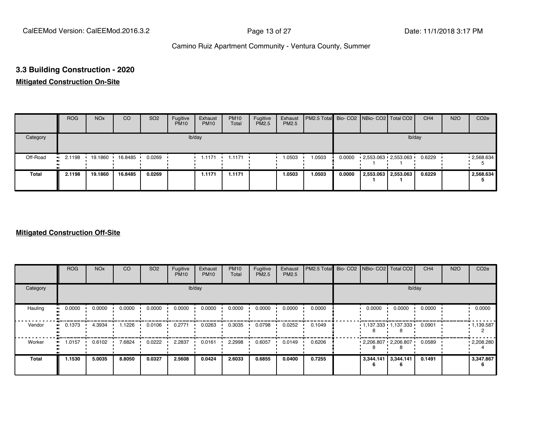CalEEMod Version: CalEEMod.2016.3.2 **Page 13 of 27** Page 13 of 27 Date: 11/1/2018 3:17 PM

#### Camino Ruiz Apartment Community - Ventura County, Summer

#### **3.3 Building Construction - 2020**

#### **Mitigated Construction On-Site**

|              | <b>ROG</b>   | <b>NO<sub>x</sub></b> | <b>CO</b> | SO <sub>2</sub> | Fugitive<br><b>PM10</b> | Exhaust<br><b>PM10</b> | <b>PM10</b><br>Total | Fugitive<br>PM2.5 | Exhaust<br>PM2.5 | PM2.5 Total Bio- CO2 NBio- CO2 Total CO2 |        |                     | CH <sub>4</sub> | <b>N2O</b> | CO <sub>2e</sub>  |
|--------------|--------------|-----------------------|-----------|-----------------|-------------------------|------------------------|----------------------|-------------------|------------------|------------------------------------------|--------|---------------------|-----------------|------------|-------------------|
| Category     |              |                       |           |                 |                         | lb/day                 |                      |                   |                  |                                          |        | lb/day              |                 |            |                   |
| Off-Road     | 2.1198<br>ш. | 19.1860               | 16.8485   | 0.0269          |                         | 1.1171                 | 1.1171               |                   | 1.0503           | 1.0503                                   | 0.0000 | 2,553.063 2,553.063 | 0.6229          |            | $\cdot$ 2,568.634 |
| <b>Total</b> | 2.1198       | 19.1860               | 16.8485   | 0.0269          |                         | 1.1171                 | 1.1171               |                   | 1.0503           | 1.0503                                   | 0.0000 | 2,553.063 2,553.063 | 0.6229          |            | 2,568.634         |

|              | <b>ROG</b> | <b>NO<sub>x</sub></b> | CO     | SO <sub>2</sub> | Fugitive<br><b>PM10</b> | Exhaust<br><b>PM10</b> | <b>PM10</b><br>Total | Fugitive<br>PM2.5 | Exhaust<br>PM2.5 | PM2.5 Total Bio- CO2 NBio- CO2 Total CO2 |                 |                             | CH <sub>4</sub> | <b>N2O</b> | CO <sub>2e</sub> |
|--------------|------------|-----------------------|--------|-----------------|-------------------------|------------------------|----------------------|-------------------|------------------|------------------------------------------|-----------------|-----------------------------|-----------------|------------|------------------|
| Category     |            |                       |        |                 |                         | lb/day                 |                      |                   |                  |                                          |                 | lb/day                      |                 |            |                  |
| Hauling      | 0.0000     | 0.0000                | 0.0000 | 0.0000          | 0.0000                  | 0.0000                 | 0.0000               | 0.0000            | 0.0000           | 0.0000                                   | 0.0000          | 0.0000                      | 0.0000          |            | 0.0000           |
| Vendor       | 0.1373     | 4.3934                | 1.1226 | 0.0106          | 0.2771                  | 0.0263                 | 0.3035               | 0.0798            | 0.0252           | 0.1049                                   |                 | $1,137.333$ $1,137.333$ $1$ | 0.0901          |            | 1,139.587        |
| Worker       | 1.0157     | 0.6102                | 7.6824 | 0.0222          | 2.2837                  | 0.0161                 | 2.2998               | 0.6057            | 0.0149           | 0.6206                                   |                 | $2,206.807$ $2,206.807$     | 0.0589          |            | .2208.280        |
| <b>Total</b> | 1.1530     | 5.0035                | 8.8050 | 0.0327          | 2.5608                  | 0.0424                 | 2.6033               | 0.6855            | 0.0400           | 0.7255                                   | 3,344.141<br>'n | 3,344.141<br>6              | 0.1491          |            | 3,347.867        |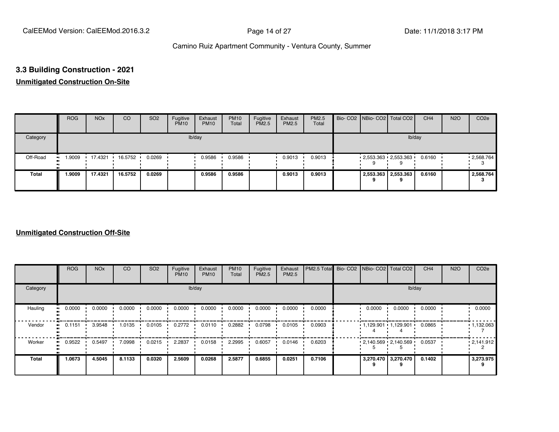CalEEMod Version: CalEEMod.2016.3.2 **Page 14 of 27** Page 14 of 27 Date: 11/1/2018 3:17 PM

#### Camino Ruiz Apartment Community - Ventura County, Summer

### **3.3 Building Construction - 2021**

**Unmitigated Construction On-Site**

|              | <b>ROG</b> | <b>NO<sub>x</sub></b> | CO        | SO <sub>2</sub> | Fugitive<br><b>PM10</b> | Exhaust<br><b>PM10</b> | <b>PM10</b><br>Total | Fugitive<br><b>PM2.5</b> | Exhaust<br>PM2.5 | <b>PM2.5</b><br>Total |  | Bio- CO2   NBio- CO2   Total CO2 | CH <sub>4</sub> | <b>N2O</b> | CO <sub>2e</sub> |
|--------------|------------|-----------------------|-----------|-----------------|-------------------------|------------------------|----------------------|--------------------------|------------------|-----------------------|--|----------------------------------|-----------------|------------|------------------|
| Category     |            |                       |           |                 |                         | lb/day                 |                      |                          |                  |                       |  | lb/day                           |                 |            |                  |
| Off-Road     | .9009      | 17.4321 ·             | 16.5752 · | 0.0269          |                         | 0.9586                 | 0.9586               |                          | 0.9013           | 0.9013                |  | $-2,553.363 - 2,553.363$         | 0.6160          |            | .2568.764<br>З   |
| <b>Total</b> | 1.9009     | 17.4321               | 16.5752   | 0.0269          |                         | 0.9586                 | 0.9586               |                          | 0.9013           | 0.9013                |  | 2,553.363 2,553.363              | 0.6160          |            | 2,568.764        |

|                      | <b>ROG</b> | <b>NO<sub>x</sub></b> | CO     | SO <sub>2</sub> | Fugitive<br><b>PM10</b> | Exhaust<br><b>PM10</b> | <b>PM10</b><br>Total | Fugitive<br>PM2.5 | Exhaust<br>PM2.5 | PM2.5 Total Bio- CO2 NBio- CO2 Total CO2 |        |                         | CH <sub>4</sub> | <b>N2O</b> | CO <sub>2e</sub>  |
|----------------------|------------|-----------------------|--------|-----------------|-------------------------|------------------------|----------------------|-------------------|------------------|------------------------------------------|--------|-------------------------|-----------------|------------|-------------------|
| Category             |            |                       |        |                 |                         | lb/day                 |                      |                   |                  |                                          |        | lb/day                  |                 |            |                   |
| Hauling<br>$\bullet$ | 0.0000     | 0.0000                | 0.0000 | 0.0000          | 0.0000                  | 0.0000                 | 0.0000               | 0.0000            | 0.0000           | 0.0000                                   | 0.0000 | 0.0000                  | 0.0000          |            | 0.0000            |
| Vendor<br>$\bullet$  | 0.1151     | 3.9548                | 1.0135 | 0.0105          | 0.2772                  | 0.0110                 | 0.2882               | 0.0798            | 0.0105           | 0.0903                                   |        | $1,129.901$ $1,129.901$ | 0.0865          |            | $\cdot$ 1,132.063 |
| Worker<br>$\bullet$  | 0.9522     | 0.5497                | 7.0998 | 0.0215          | 2.2837                  | 0.0158                 | 2.2995               | 0.6057            | 0.0146           | 0.6203                                   |        | $2,140.569$ $2,140.569$ | 0.0537          |            | $\cdot$ 2,141.912 |
| Total                | 1.0673     | 4.5045                | 8.1133 | 0.0320          | 2.5609                  | 0.0268                 | 2.5877               | 0.6855            | 0.0251           | 0.7106                                   |        | 3,270.470 3,270.470     | 0.1402          |            | 3,273.975         |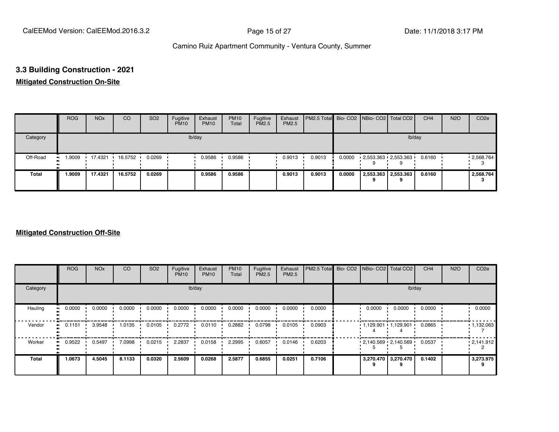CalEEMod Version: CalEEMod.2016.3.2 **Page 15 of 27** Page 15 of 27 Date: 11/1/2018 3:17 PM

#### Camino Ruiz Apartment Community - Ventura County, Summer

#### **3.3 Building Construction - 2021**

#### **Mitigated Construction On-Site**

|              | <b>ROG</b> | <b>NO<sub>x</sub></b> | CO      | SO <sub>2</sub> | Fugitive<br><b>PM10</b> | Exhaust<br><b>PM10</b> | <b>PM10</b><br>Total | Fugitive<br><b>PM2.5</b> | Exhaust<br>PM2.5 | PM2.5 Total Bio- CO2 NBio- CO2 Total CO2 |        |                          | CH <sub>4</sub> | <b>N2O</b> | CO <sub>2e</sub>  |
|--------------|------------|-----------------------|---------|-----------------|-------------------------|------------------------|----------------------|--------------------------|------------------|------------------------------------------|--------|--------------------------|-----------------|------------|-------------------|
| Category     |            |                       |         |                 |                         | lb/day                 |                      |                          |                  |                                          |        | lb/day                   |                 |            |                   |
| Off-Road     | .9009      | 17.4321               | 16.5752 | 0.0269          |                         | 0.9586                 | 0.9586               |                          | 0.9013           | 0.9013                                   | 0.0000 | $2,553.363$ $2,553.363$  | 0.6160          |            | $\cdot$ 2,568.764 |
| <b>Total</b> | 1.9009     | 17.4321               | 16.5752 | 0.0269          |                         | 0.9586                 | 0.9586               |                          | 0.9013           | 0.9013                                   | 0.0000 | 2,553.363 2,553.363<br>9 | 0.6160          |            | 2,568.764         |

|              | <b>ROG</b> | <b>NO<sub>x</sub></b> | CO     | SO <sub>2</sub> | Fugitive<br><b>PM10</b> | Exhaust<br><b>PM10</b> | <b>PM10</b><br>Total | Fugitive<br>PM2.5 | Exhaust<br>PM2.5 | PM2.5 Total Bio- CO2 NBio- CO2 Total CO2 |        |                          | CH <sub>4</sub> | <b>N2O</b> | CO <sub>2e</sub> |
|--------------|------------|-----------------------|--------|-----------------|-------------------------|------------------------|----------------------|-------------------|------------------|------------------------------------------|--------|--------------------------|-----------------|------------|------------------|
| Category     |            |                       |        |                 |                         | lb/day                 |                      |                   |                  |                                          |        | lb/day                   |                 |            |                  |
| Hauling      | 0.0000     | 0.0000                | 0.0000 | 0.0000          | 0.0000                  | 0.0000                 | 0.0000               | 0.0000            | 0.0000           | 0.0000                                   | 0.0000 | 0.0000                   | 0.0000          |            | 0.0000           |
| Vendor       | 0.1151     | 3.9548                | 1.0135 | 0.0105          | 0.2772                  | 0.0110                 | 0.2882               | 0.0798            | 0.0105           | 0.0903                                   |        | $1,129.901$ $1,129.901$  | 0.0865          |            | 1,132.063        |
| Worker       | 0.9522     | 0.5497                | 7.0998 | 0.0215          | 2.2837                  | 0.0158                 | 2.2995               | 0.6057            | 0.0146           | 0.6203                                   |        | $2,140.569$ $2,140.569$  | 0.0537          |            | 12,141.912       |
| <b>Total</b> | 1.0673     | 4.5045                | 8.1133 | 0.0320          | 2.5609                  | 0.0268                 | 2.5877               | 0.6855            | 0.0251           | 0.7106                                   |        | 3,270.470 3,270.470<br>9 | 0.1402          |            | 3,273.975        |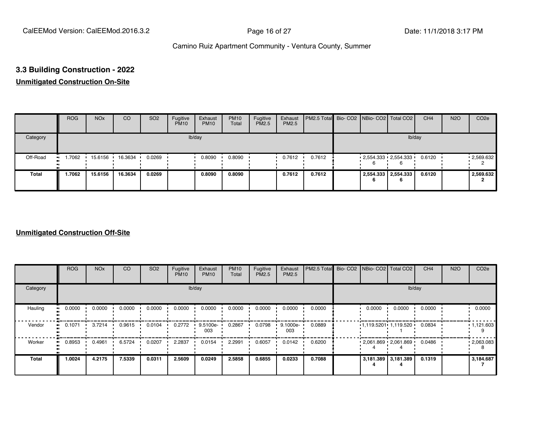# **3.3 Building Construction - 2022**

#### **Unmitigated Construction On-Site**

|              | <b>ROG</b>             | <b>NO<sub>x</sub></b> | CO      | SO <sub>2</sub> | Fugitive<br><b>PM10</b> | Exhaust<br><b>PM10</b> | <b>PM10</b><br>Total | Fugitive<br>PM2.5 | Exhaust<br>PM2.5 | PM2.5 Total Bio- CO2 NBio- CO2 Total CO2 |  |                          | CH <sub>4</sub> | <b>N2O</b> | CO <sub>2e</sub>  |
|--------------|------------------------|-----------------------|---------|-----------------|-------------------------|------------------------|----------------------|-------------------|------------------|------------------------------------------|--|--------------------------|-----------------|------------|-------------------|
| Category     |                        |                       |         |                 |                         | lb/day                 |                      |                   |                  |                                          |  | lb/day                   |                 |            |                   |
| Off-Road     | 1.7062<br>$\mathbf{u}$ | 15.6156               | 16.3634 | 0.0269          |                         | 0.8090                 | 0.8090               |                   | 0.7612           | 0.7612                                   |  | $2,554.333$ $2,554.333$  | 0.6120          |            | $\cdot$ 2,569.632 |
| <b>Total</b> | 1.7062                 | 15.6156               | 16.3634 | 0.0269          |                         | 0.8090                 | 0.8090               |                   | 0.7612           | 0.7612                                   |  | 2,554.333 2,554.333<br>6 | 0.6120          |            | 2,569.632         |

|                      | <b>ROG</b>   | <b>NO<sub>x</sub></b> | CO     | SO <sub>2</sub> | Fugitive<br><b>PM10</b> | Exhaust<br><b>PM10</b> | <b>PM10</b><br>Total | Fugitive<br>PM2.5 | Exhaust<br>PM2.5 | PM2.5 Total Bio- CO2 NBio- CO2 Total CO2 |        |                         | CH <sub>4</sub> | <b>N2O</b> | CO <sub>2e</sub>  |
|----------------------|--------------|-----------------------|--------|-----------------|-------------------------|------------------------|----------------------|-------------------|------------------|------------------------------------------|--------|-------------------------|-----------------|------------|-------------------|
| Category             |              |                       |        |                 | lb/day                  |                        |                      |                   |                  |                                          |        | lb/day                  |                 |            |                   |
| Hauling<br>$\bullet$ | 0.0000       | 0.0000                | 0.0000 | 0.0000          | 0.0000                  | 0.0000                 | 0.0000               | 0.0000            | 0.0000           | 0.0000                                   | 0.0000 | 0.0000                  | 0.0000          |            | 0.0000            |
| Vendor               | 0.1071<br>ш. | 3.7214                | 0.9615 | 0.0104          | 0.2772                  | 9.5100e-<br>003        | 0.2867               | 0.0798            | 9.1000e-<br>003  | 0.0889                                   |        | $1,119.5201$ 1,119.520  | 0.0834          |            | 1,121.603         |
| Worker<br>$\bullet$  | 0.8953       | 0.4961                | 6.5724 | 0.0207          | 2.2837                  | 0.0154                 | 2.2991               | 0.6057            | 0.0142           | 0.6200                                   |        | $2,061.869$ $2,061.869$ | 0.0486          |            | $\cdot$ 2,063.083 |
| Total                | 1.0024       | 4.2175                | 7.5339 | 0.0311          | 2.5609                  | 0.0249                 | 2.5858               | 0.6855            | 0.0233           | 0.7088                                   |        | 3,181.389 3,181.389     | 0.1319          |            | 3,184.687         |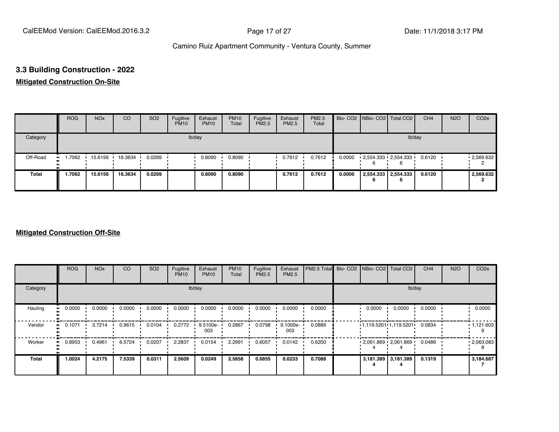CalEEMod Version: CalEEMod.2016.3.2 **Page 17 of 27** Page 17 of 27 Date: 11/1/2018 3:17 PM

#### Camino Ruiz Apartment Community - Ventura County, Summer

#### **3.3 Building Construction - 2022**

#### **Mitigated Construction On-Site**

|                       | <b>ROG</b> | <b>NO<sub>x</sub></b> | CO      | SO <sub>2</sub> | Fugitive<br><b>PM10</b> | Exhaust<br><b>PM10</b> | <b>PM10</b><br>Total | Fugitive<br>PM2.5 | Exhaust<br>PM2.5 | PM2.5<br>Total |        | Bio- CO2 NBio- CO2 Total CO2 | CH <sub>4</sub> | <b>N2O</b> | CO <sub>2e</sub>  |
|-----------------------|------------|-----------------------|---------|-----------------|-------------------------|------------------------|----------------------|-------------------|------------------|----------------|--------|------------------------------|-----------------|------------|-------------------|
| Category              |            |                       |         |                 |                         | lb/day                 |                      |                   |                  |                |        | lb/day                       |                 |            |                   |
| Off-Road<br>$\bullet$ | 1.7062     | 15.6156               | 16.3634 | 0.0269          |                         | 0.8090                 | 0.8090               |                   | 0.7612           | 0.7612         | 0.0000 | $2,554.333$ $2,554.333$<br>6 | 0.6120          |            | $\cdot$ 2,569.632 |
| <b>Total</b>          | 1.7062     | 15.6156               | 16.3634 | 0.0269          |                         | 0.8090                 | 0.8090               |                   | 0.7612           | 0.7612         | 0.0000 | 2,554.333 2,554.333<br>6     | 0.6120          |            | 2,569.632         |

|              | <b>ROG</b> | <b>NO<sub>x</sub></b> | CO     | SO <sub>2</sub> | Fugitive<br><b>PM10</b> | Exhaust<br><b>PM10</b> | <b>PM10</b><br>Total | Fugitive<br>PM2.5 | Exhaust<br>PM2.5 | PM2.5 Total |        | Bio- CO2 NBio- CO2 Total CO2 | CH <sub>4</sub> | <b>N2O</b> | CO <sub>2e</sub> |
|--------------|------------|-----------------------|--------|-----------------|-------------------------|------------------------|----------------------|-------------------|------------------|-------------|--------|------------------------------|-----------------|------------|------------------|
| Category     |            |                       |        |                 |                         | lb/day                 |                      |                   |                  |             |        | lb/day                       |                 |            |                  |
| Hauling      | 0.0000     | 0.0000                | 0.0000 | 0.0000          | 0.0000                  | 0.0000                 | 0.0000               | 0.0000            | 0.0000           | 0.0000      | 0.0000 | 0.0000                       | 0.0000          |            | 0.0000           |
| Vendor       | 0.1071     | 3.7214                | 0.9615 | 0.0104          | 0.2772                  | 9.5100e-<br>003        | 0.2867               | 0.0798            | 9.1000e-<br>003  | 0.0889      |        | $1,119.5201$ 1,119.5201      | 0.0834          |            | 1,121.603        |
| Worker       | 0.8953     | 0.4961                | 6.5724 | 0.0207          | 2.2837                  | 0.0154                 | 2.2991               | 0.6057            | 0.0142           | 0.6200      |        | $2,061.869$ $2,061.869$      | 0.0486          |            | .2063.083        |
| <b>Total</b> | 1.0024     | 4.2175                | 7.5339 | 0.0311          | 2.5609                  | 0.0249                 | 2.5858               | 0.6855            | 0.0233           | 0.7088      |        | 3,181.389 3,181.389          | 0.1319          |            | 3,184.687        |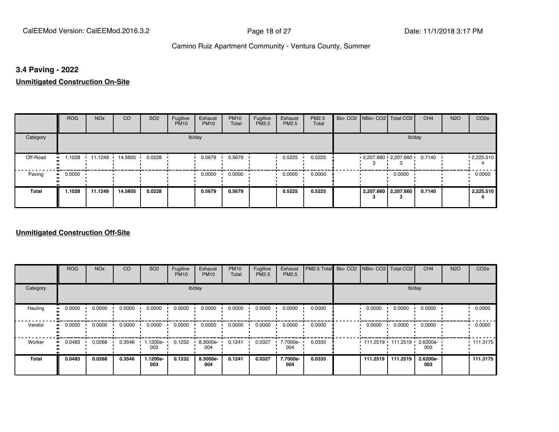#### **3.4 Paving - 2022**

**Unmitigated Construction On-Site**

|                            | <b>ROG</b> | <b>NO<sub>x</sub></b> | CO      | SO <sub>2</sub> | Fugitive<br><b>PM10</b> | Exhaust<br><b>PM10</b> | <b>PM10</b><br>Total | Fugitive<br><b>PM2.5</b> | Exhaust<br>PM2.5 | PM2.5<br>Total | Bio- CO2   NBio- CO2   Total CO2 |                       | CH <sub>4</sub> | <b>N2O</b> | CO <sub>2e</sub> |
|----------------------------|------------|-----------------------|---------|-----------------|-------------------------|------------------------|----------------------|--------------------------|------------------|----------------|----------------------------------|-----------------------|-----------------|------------|------------------|
| Category                   |            |                       |         |                 |                         | lb/day                 |                      |                          |                  |                |                                  |                       | lb/day          |            |                  |
| Off-Road<br>-91            | 1.1028     | 11.1249               | 14.5805 | 0.0228          |                         | 0.5679                 | 0.5679               |                          | 0.5225           | 0.5225         | $2,207.660$ $2,207.660$ $\cdot$  |                       | 0.7140          |            | .225.510         |
| Paving<br>$\bullet\bullet$ | 0.0000     |                       |         |                 |                         | 0.0000                 | 0.0000               |                          | 0.0000           | 0.0000         |                                  | 0.0000                |                 |            | 0.0000           |
| <b>Total</b>               | 1.1028     | 11.1249               | 14.5805 | 0.0228          |                         | 0.5679                 | 0.5679               |                          | 0.5225           | 0.5225         |                                  | 2,207.660   2,207.660 | 0.7140          |            | 2,225.510        |

|                        | <b>ROG</b>               | <b>NO<sub>x</sub></b> | CO     | SO <sub>2</sub> | Fugitive<br><b>PM10</b> | Exhaust<br><b>PM10</b> | <b>PM10</b><br>Total | Fugitive<br><b>PM2.5</b> | Exhaust<br>PM2.5 | PM2.5 Total Bio- CO2 NBio- CO2 Total CO2 |          |                     | CH <sub>4</sub> | <b>N2O</b> | CO <sub>2e</sub> |
|------------------------|--------------------------|-----------------------|--------|-----------------|-------------------------|------------------------|----------------------|--------------------------|------------------|------------------------------------------|----------|---------------------|-----------------|------------|------------------|
| Category               |                          |                       |        |                 |                         | lb/day                 |                      |                          |                  |                                          |          | lb/day              |                 |            |                  |
| Hauling                | 0.0000<br>$\blacksquare$ | 0.0000                | 0.0000 | 0.0000          | 0.0000                  | 0.0000                 | 0.0000               | 0.0000                   | 0.0000           | 0.0000                                   | 0.0000   | 0.0000              | 0.0000          |            | 0.0000           |
| Vendor<br>$\mathbf{u}$ | 0.0000                   | 0.0000                | 0.0000 | 0.0000          | 0.0000                  | 0.0000                 | 0.0000               | 0.0000                   | 0.0000           | 0.0000                                   | 0.0000   | 0.0000              | 0.0000          |            | 0.0000           |
| Worker<br>$\bullet$    | 0.0483                   | 0.0268                | 0.3546 | .1200e-<br>003  | 0.1232                  | 8.3000e-<br>004        | 0.1241               | 0.0327                   | 7.7000e-<br>004  | 0.0335                                   |          | 111.2519 111.2519 ' | 2.6200e-<br>003 |            | .111.3175        |
| <b>Total</b>           | 0.0483                   | 0.0268                | 0.3546 | 1.1200e-<br>003 | 0.1232                  | 8.3000e-<br>004        | 0.1241               | 0.0327                   | 7.7000e-<br>004  | 0.0335                                   | 111.2519 | 111.2519            | 2.6200e-<br>003 |            | 111.3175         |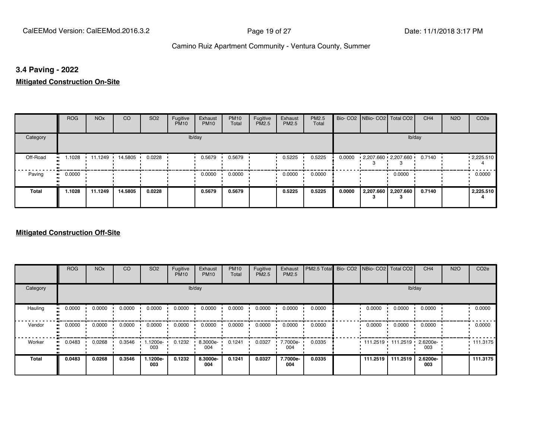#### **3.4 Paving - 2022**

**Mitigated Construction On-Site**

|                       | <b>ROG</b>   | <b>NO<sub>x</sub></b> | <b>CO</b> | SO <sub>2</sub> | Fugitive<br><b>PM10</b> | Exhaust<br><b>PM10</b> | <b>PM10</b><br>Total | Fugitive<br>PM2.5 | Exhaust<br>PM2.5 | PM2.5<br>Total |        | Bio- CO2   NBio- CO2   Total CO2 | CH <sub>4</sub> | <b>N2O</b> | CO <sub>2e</sub> |
|-----------------------|--------------|-----------------------|-----------|-----------------|-------------------------|------------------------|----------------------|-------------------|------------------|----------------|--------|----------------------------------|-----------------|------------|------------------|
| Category              |              |                       |           |                 | lb/day                  |                        |                      |                   |                  |                |        | lb/day                           |                 |            |                  |
| Off-Road<br>$\bullet$ | .1028        | 11.1249               | 14.5805   | 0.0228          |                         | 0.5679                 | 0.5679               |                   | 0.5225           | 0.5225         | 0.0000 | 2,207.660 2,207.660              | 0.7140          |            | .2,225.510       |
| Paving                | 0.0000<br>ш. |                       |           |                 |                         | 0.0000                 | 0.0000               |                   | 0.0000           | 0.0000         |        | 0.0000                           |                 |            | 0.0000           |
| Total                 | 1.1028       | 11.1249               | 14.5805   | 0.0228          |                         | 0.5679                 | 0.5679               |                   | 0.5225           | 0.5225         | 0.0000 | 2,207.660 2,207.660              | 0.7140          |            | 2,225.510        |

|                        | <b>ROG</b>               | <b>NO<sub>x</sub></b> | CO     | SO <sub>2</sub> | Fugitive<br><b>PM10</b> | Exhaust<br><b>PM10</b> | <b>PM10</b><br>Total | Fugitive<br><b>PM2.5</b> | Exhaust<br>PM2.5 | PM2.5 Total Bio- CO2 NBio- CO2 Total CO2 |          |                     | CH <sub>4</sub> | <b>N2O</b> | CO <sub>2e</sub> |
|------------------------|--------------------------|-----------------------|--------|-----------------|-------------------------|------------------------|----------------------|--------------------------|------------------|------------------------------------------|----------|---------------------|-----------------|------------|------------------|
| Category               |                          |                       |        |                 |                         | lb/day                 |                      |                          |                  |                                          |          | lb/day              |                 |            |                  |
| Hauling                | 0.0000<br>$\blacksquare$ | 0.0000                | 0.0000 | 0.0000          | 0.0000                  | 0.0000                 | 0.0000               | 0.0000                   | 0.0000           | 0.0000                                   | 0.0000   | 0.0000              | 0.0000          |            | 0.0000           |
| Vendor<br>$\mathbf{u}$ | 0.0000                   | 0.0000                | 0.0000 | 0.0000          | 0.0000                  | 0.0000                 | 0.0000               | 0.0000                   | 0.0000           | 0.0000                                   | 0.0000   | 0.0000              | 0.0000          |            | 0.0000           |
| Worker<br>$\bullet$    | 0.0483                   | 0.0268                | 0.3546 | .1200e-<br>003  | 0.1232                  | 8.3000e-<br>004        | 0.1241               | 0.0327                   | 7.7000e-<br>004  | 0.0335                                   |          | 111.2519 111.2519 ' | 2.6200e-<br>003 |            | .111.3175        |
| <b>Total</b>           | 0.0483                   | 0.0268                | 0.3546 | 1.1200e-<br>003 | 0.1232                  | 8.3000e-<br>004        | 0.1241               | 0.0327                   | 7.7000e-<br>004  | 0.0335                                   | 111.2519 | 111.2519            | 2.6200e-<br>003 |            | 111.3175         |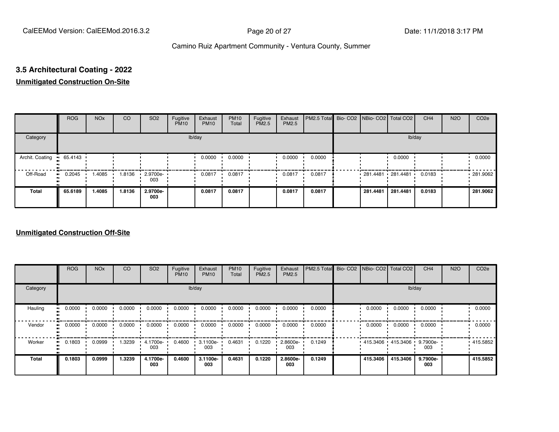# **3.5 Architectural Coating - 2022**

### **Unmitigated Construction On-Site**

|                 | <b>ROG</b>                  | <b>NO<sub>x</sub></b> | CO     | SO <sub>2</sub>         | Fugitive<br><b>PM10</b> | Exhaust<br><b>PM10</b> | <b>PM10</b><br>Total | Fugitive<br>PM2.5 | Exhaust<br>PM2.5 | PM2.5 Total Bio- CO2 NBio- CO2 Total CO2 |                     |          | CH <sub>4</sub> | <b>N2O</b> | CO <sub>2e</sub> |
|-----------------|-----------------------------|-----------------------|--------|-------------------------|-------------------------|------------------------|----------------------|-------------------|------------------|------------------------------------------|---------------------|----------|-----------------|------------|------------------|
| Category        |                             |                       |        |                         | lb/day                  |                        |                      |                   |                  |                                          |                     | lb/day   |                 |            |                  |
| Archit. Coating | 65.4143<br>$\bullet\bullet$ |                       |        |                         |                         | 0.0000                 | 0.0000               |                   | 0.0000           | 0.0000                                   |                     | 0.0000   |                 |            | 0.0000           |
| Off-Road        | 0.2045<br>ш.                | 1.4085                | 1.8136 | $\cdot$ 2.9700e-<br>003 |                         | 0.0817                 | 0.0817               |                   | 0.0817           | 0.0817                                   | $281.4481$ 281.4481 |          | 0.0183          |            | .281.9062        |
| Total           | 65.6189                     | 1.4085                | 1.8136 | 2.9700e-<br>003         |                         | 0.0817                 | 0.0817               |                   | 0.0817           | 0.0817                                   | 281.4481            | 281.4481 | 0.0183          |            | 281.9062         |

|                        | <b>ROG</b>               | <b>NO<sub>x</sub></b> | CO     | SO <sub>2</sub> | Fugitive<br><b>PM10</b> | Exhaust<br><b>PM10</b> | <b>PM10</b><br>Total | Fugitive<br><b>PM2.5</b> | Exhaust<br>PM2.5 | PM2.5 Total Bio- CO2 NBio- CO2 Total CO2 |                            |          | CH <sub>4</sub> | <b>N2O</b> | CO <sub>2e</sub> |
|------------------------|--------------------------|-----------------------|--------|-----------------|-------------------------|------------------------|----------------------|--------------------------|------------------|------------------------------------------|----------------------------|----------|-----------------|------------|------------------|
| Category               |                          |                       |        |                 |                         | lb/day                 |                      |                          |                  |                                          |                            | lb/day   |                 |            |                  |
| Hauling                | 0.0000<br>$\blacksquare$ | 0.0000                | 0.0000 | 0.0000          | 0.0000                  | 0.0000                 | 0.0000               | 0.0000                   | 0.0000           | 0.0000                                   | 0.0000                     | 0.0000   | 0.0000          |            | 0.0000           |
| Vendor<br>$\mathbf{u}$ | 0.0000                   | 0.0000                | 0.0000 | 0.0000          | 0.0000                  | 0.0000                 | 0.0000               | 0.0000                   | 0.0000           | 0.0000                                   | 0.0000                     | 0.0000   | 0.0000          |            | 0.0000           |
| Worker                 | 0.1803<br>$\bullet$      | 0.0999                | 1.3239 | 4.1700e-<br>003 | 0.4600                  | 3.1100e-<br>003        | 0.4631               | 0.1220                   | 2.8600e-<br>003  | 0.1249                                   | 415.3406 415.3406 9.7900e- |          | 003             |            | .415.5852        |
| <b>Total</b>           | 0.1803                   | 0.0999                | 1.3239 | 4.1700e-<br>003 | 0.4600                  | 3.1100e-<br>003        | 0.4631               | 0.1220                   | 2.8600e-<br>003  | 0.1249                                   | 415.3406                   | 415.3406 | 9.7900e-<br>003 |            | 415.5852         |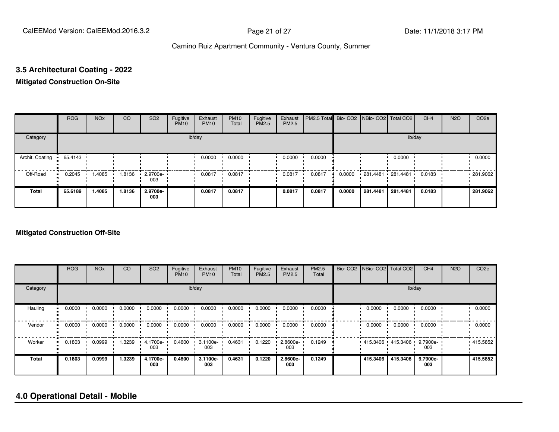### **3.5 Architectural Coating - 2022**

#### **Mitigated Construction On-Site**

|                 | <b>ROG</b>   | <b>NO<sub>x</sub></b> | CO     | SO <sub>2</sub>    | Fugitive<br><b>PM10</b> | Exhaust<br><b>PM10</b> | <b>PM10</b><br>Total | Fugitive<br>PM2.5 | Exhaust<br>PM2.5 | PM2.5 Total Bio- CO2 NBio- CO2 Total CO2 |        |                     |          | CH <sub>4</sub> | <b>N2O</b> | CO <sub>2e</sub> |
|-----------------|--------------|-----------------------|--------|--------------------|-------------------------|------------------------|----------------------|-------------------|------------------|------------------------------------------|--------|---------------------|----------|-----------------|------------|------------------|
| Category        |              |                       |        |                    |                         | lb/day                 |                      |                   |                  |                                          |        |                     | lb/day   |                 |            |                  |
| Archit. Coating | $-65.4143$   |                       |        |                    |                         | 0.0000                 | 0.0000               |                   | 0.0000           | 0.0000                                   |        |                     | 0.0000   |                 |            | 0.0000           |
| Off-Road        | 0.2045<br>ш. | 1.4085                | 1.8136 | $-2.9700e-$<br>003 |                         | 0.0817                 | 0.0817               |                   | 0.0817           | 0.0817                                   | 0.0000 | $281.4481$ 281.4481 |          | 0.0183          |            | 281.9062         |
| Total           | 65.6189      | 1.4085                | 1.8136 | 2.9700e-<br>003    |                         | 0.0817                 | 0.0817               |                   | 0.0817           | 0.0817                                   | 0.0000 | 281.4481            | 281.4481 | 0.0183          |            | 281.9062         |

#### **Mitigated Construction Off-Site**

|          | <b>ROG</b> | <b>NO<sub>x</sub></b> | <b>CO</b> | SO <sub>2</sub> | Fugitive<br><b>PM10</b> | Exhaust<br><b>PM10</b> | <b>PM10</b><br>Total | Fugitive<br><b>PM2.5</b> | Exhaust<br>PM2.5 | <b>PM2.5</b><br>Total | Bio- CO2   NBio- CO2   Total CO2 |                   | CH <sub>4</sub> | <b>N2O</b> | CO <sub>2e</sub> |
|----------|------------|-----------------------|-----------|-----------------|-------------------------|------------------------|----------------------|--------------------------|------------------|-----------------------|----------------------------------|-------------------|-----------------|------------|------------------|
| Category |            |                       |           |                 |                         | lb/day                 |                      |                          |                  |                       |                                  |                   | lb/day          |            |                  |
| Hauling  | 0.0000     | 0.0000                | 0.0000    | 0.0000          | 0.0000                  | 0.0000                 | 0.0000               | 0.0000                   | 0.0000           | 0.0000                | 0.0000                           | 0.0000            | 0.0000          |            | 0.0000           |
| Vendor   | 0.0000     | 0.0000                | 0.0000    | 0.0000          | 0.0000                  | 0.0000                 | 0.0000               | 0.0000                   | 0.0000           | 0.0000                | 0.0000                           | 0.0000            | 0.0000          |            | 0.0000           |
| Worker   | 0.1803     | 0.0999                | 1.3239    | 4.1700e-<br>003 | 0.4600                  | 3.1100e-<br>003        | 0.4631               | 0.1220                   | 2.8600e-<br>003  | 0.1249                |                                  | 415.3406 415.3406 | 9.7900e-<br>003 |            | .415.5852        |
| Total    | 0.1803     | 0.0999                | 1.3239    | 4.1700e-<br>003 | 0.4600                  | 3.1100e-<br>003        | 0.4631               | 0.1220                   | 2.8600e-<br>003  | 0.1249                | 415.3406                         | 415.3406          | 9.7900e-<br>003 |            | 415.5852         |

#### **4.0 Operational Detail - Mobile**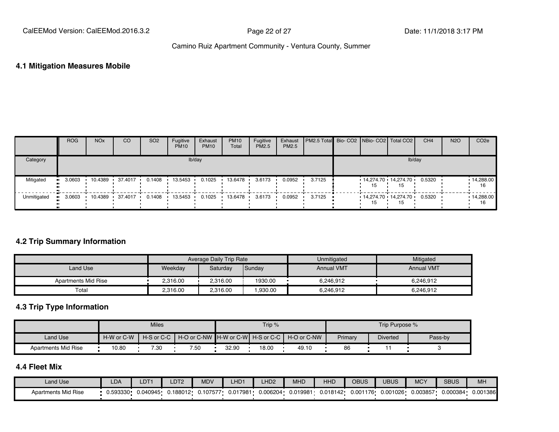#### **4.1 Mitigation Measures Mobile**

|             | <b>ROG</b> | <b>NO<sub>x</sub></b> | <b>CO</b>         | SO <sub>2</sub> | Fugitive<br><b>PM10</b>        | Exhaust<br><b>PM10</b> | <b>PM10</b><br>Total | Fugitive<br>PM2.5 | Exhaust<br>PM2.5 | PM2.5 Total Bio- CO2 NBio- CO2 Total CO2 |    |                               | CH <sub>4</sub> | <b>N2O</b> | CO <sub>2e</sub>        |
|-------------|------------|-----------------------|-------------------|-----------------|--------------------------------|------------------------|----------------------|-------------------|------------------|------------------------------------------|----|-------------------------------|-----------------|------------|-------------------------|
| Category    |            |                       |                   |                 |                                | lb/day                 |                      |                   |                  |                                          |    | lb/day                        |                 |            |                         |
| Mitigated   | 3.0603     |                       | 10.4389 37.4017 ' | 0.1408          | $\cdot$ 13.5453 $\cdot$        | 0.1025                 | 13.6478              | 3.6173            | 0.0952           | 3.7125                                   |    | $14,274.70$ $14,274.70$<br>15 | 0.5320          |            | 14,288.00               |
| Unmitigated | 3.0603     |                       |                   |                 | 10.4389 37.4017 0.1408 13.5453 | 0.1025                 | 13.6478              | 3.6173            | 0.0952           | 3.7125                                   | 15 | $14.274.70$ $14.274.70$<br>15 | 0.5320          |            | $\cdot$ 14,288.00<br>16 |

#### **4.2 Trip Summary Information**

|                     |          | Average Daily Trip Rate |         | Unmitigated       | Mitigated         |
|---------------------|----------|-------------------------|---------|-------------------|-------------------|
| Land Use            | Weekday  | Saturday                | Sunday  | <b>Annual VMT</b> | <b>Annual VMT</b> |
| Apartments Mid Rise | 2,316.00 | 2.316.00                | 1930.00 | 6.246.912         | 6.246.912         |
| Total               | 2.316.00 | 2.316.00                | .930.00 | 6.246.912         | 6.246.912         |

#### **4.3 Trip Type Information**

|                     |            | <b>Miles</b> |                                                           |       | Trip $%$ |       |         | Trip Purpose %  |         |
|---------------------|------------|--------------|-----------------------------------------------------------|-------|----------|-------|---------|-----------------|---------|
| Land Use            | H-W or C-W |              | H-S or C-C H-O or C-NW H-W or C-WI H-S or C-C H-O or C-NW |       |          |       | Primary | <b>Diverted</b> | Pass-by |
| Apartments Mid Rise | 10.80      | 7.30         | 7.50                                                      | 32.90 | 18.00    | 49.10 | 86      |                 |         |

#### **4.4 Fleet Mix**

| <b>Land Use</b>        | LDA      | LDT*     | LDT2     | <b>MDV</b> | <b>LHD</b> <sup>-</sup> | LHD <sub>2</sub> | MHD      | <b>HHD</b> | OBUS            | UBUS     | <b>MCY</b> | <b>SBUS</b> | MH       |
|------------------------|----------|----------|----------|------------|-------------------------|------------------|----------|------------|-----------------|----------|------------|-------------|----------|
| Mid Rise<br>Apartments | 0.593330 | 0.040945 | 0.188012 | J.107577   | 0.017981                | J.006204         | 0.019981 | 0.018142   | 176.<br>1.001 ل | 0.001026 | J.003857   | 0.000384    | 0.001386 |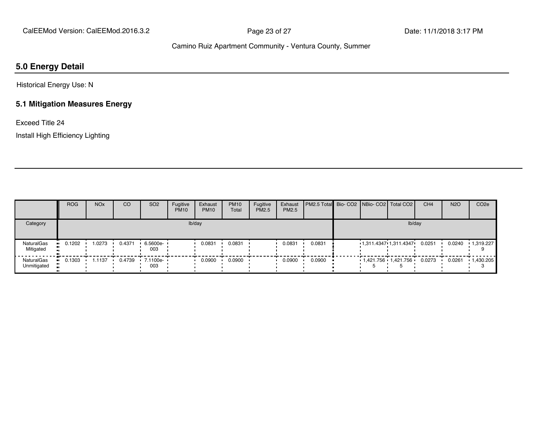#### **5.0 Energy Detail**

Historical Energy Use: N

#### **5.1 Mitigation Measures Energy**

Exceed Title 24

Install High Efficiency Lighting

|                           | <b>ROG</b> | <b>NO<sub>x</sub></b> | <b>CO</b> | SO <sub>2</sub>                          | Fugitive<br><b>PM10</b> | Exhaust<br><b>PM10</b> | <b>PM10</b><br>Total | Fugitive<br><b>PM2.5</b> | Exhaust<br>PM2.5 | PM2.5 Total Bio- CO2 NBio- CO2 Total CO2 |                       |                       | CH <sub>4</sub> | <b>N2O</b> | CO <sub>2e</sub>  |
|---------------------------|------------|-----------------------|-----------|------------------------------------------|-------------------------|------------------------|----------------------|--------------------------|------------------|------------------------------------------|-----------------------|-----------------------|-----------------|------------|-------------------|
| Category                  |            |                       |           |                                          |                         | lb/day                 |                      |                          |                  |                                          |                       | lb/day                |                 |            |                   |
| NaturalGas<br>Mitigated   | 0.1202     | 1.0273                | 0.4371    | $6.5600e-$<br>003                        |                         | 0.0831                 | 0.0831               |                          | 0.0831           | 0.0831                                   | 1,311.4347.1,311.4347 |                       | 0.0251          | 0.0240     | $\cdot$ 1,319.227 |
| NaturalGas<br>Unmitigated | 0.1303     | .1137                 |           | $0.4739$ $\cdot$ 7.1100e- $\cdot$<br>003 |                         | 0.0900                 | 0.0900               |                          | 0.0900           | 0.0900                                   |                       | 1,421.756 1,421.756 ' | 0.0273          | 0.0261     | $\cdot$ 1,430.205 |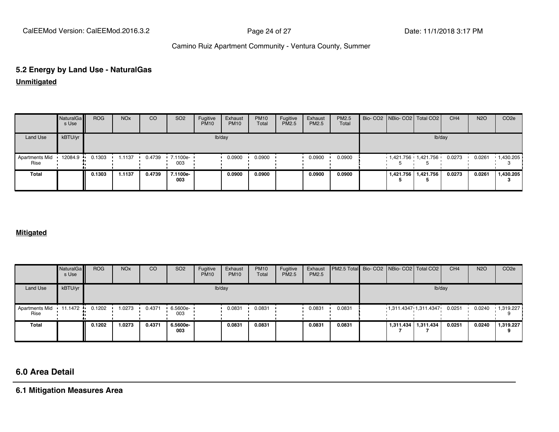CalEEMod Version: CalEEMod.2016.3.2 **Page 24 of 27** Page 24 of 27 Date: 11/1/2018 3:17 PM

#### Camino Ruiz Apartment Community - Ventura County, Summer

# **5.2 Energy by Land Use - NaturalGas**

**Unmitigated**

|                               | NaturalGa<br>s Use | <b>ROG</b> | <b>NO<sub>x</sub></b> | <sub>CO</sub> | SO <sub>2</sub>    | Fugitive<br><b>PM10</b> | Exhaust<br><b>PM10</b> | <b>PM10</b><br>Total | Fugitive<br>PM2.5 | Exhaust<br>PM2.5 | PM2.5<br>Total |  | Bio- CO2 NBio- CO2 Total CO2   | CH <sub>4</sub> | <b>N2O</b> | CO <sub>2</sub> e |
|-------------------------------|--------------------|------------|-----------------------|---------------|--------------------|-------------------------|------------------------|----------------------|-------------------|------------------|----------------|--|--------------------------------|-----------------|------------|-------------------|
| Land Use                      | kBTU/yr            |            |                       |               |                    |                         | lb/day                 |                      |                   |                  |                |  | lb/day                         |                 |            |                   |
| <b>Apartments Mid</b><br>Rise | 12084.9            | 0.1303     | 1.1137                | 0.4739        | $.7.1100e-$<br>003 |                         | 0.0900                 | 0.0900               |                   | 0.0900           | 0.0900         |  | $1,421.756$ $1,421.756$ 0.0273 |                 | 0.0261     | $\cdot$ 1,430.205 |
| <b>Total</b>                  |                    | 0.1303     | 1.1137                | 0.4739        | 7.1100e-<br>003    |                         | 0.0900                 | 0.0900               |                   | 0.0900           | 0.0900         |  | 1,421.756   1,421.756          | 0.0273          | 0.0261     | 1,430.205         |

#### **Mitigated**

|                                       | NaturalGa<br>s Use | <b>ROG</b> | <b>NO<sub>x</sub></b> | CO     | SO <sub>2</sub>    | Fugitive<br><b>PM10</b> | Exhaust<br><b>PM10</b> | <b>PM10</b><br>Total | Fugitive<br><b>PM2.5</b> | Exhaust<br>PM2.5 | PM2.5 Total Bio- CO2 NBio- CO2 Total CO2 |  |                                | CH <sub>4</sub> | <b>N2O</b> | CO <sub>2e</sub> |
|---------------------------------------|--------------------|------------|-----------------------|--------|--------------------|-------------------------|------------------------|----------------------|--------------------------|------------------|------------------------------------------|--|--------------------------------|-----------------|------------|------------------|
| Land Use                              | kBTU/yr            |            |                       |        |                    |                         | lb/day                 |                      |                          |                  |                                          |  | lb/day                         |                 |            |                  |
| Apartments Mid 11.1472 0.1202<br>Rise |                    |            | 1.0273                | 0.4371 | $.65600e -$<br>003 |                         | 0.0831                 | 0.0831               |                          | 0.0831           | 0.0831                                   |  | $1,311.4347$ 1,311.4347 0.0251 |                 | 0.0240     | .1,319.227       |
| Total                                 |                    | 0.1202     | 1.0273                | 0.4371 | 6.5600e-<br>003    |                         | 0.0831                 | 0.0831               |                          | 0.0831           | 0.0831                                   |  | 1,311.434 1,311.434            | 0.0251          | 0.0240     | 1,319.227        |

### **6.0 Area Detail**

**6.1 Mitigation Measures Area**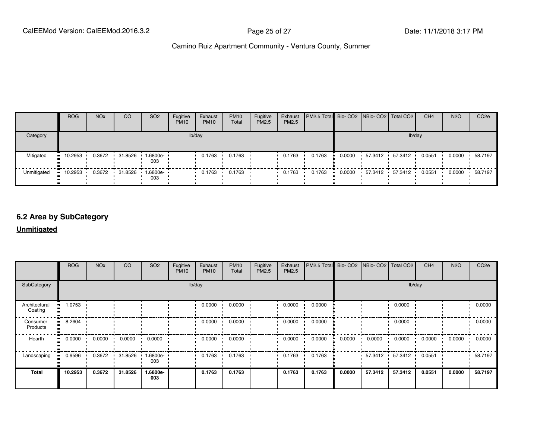|             | <b>ROG</b>             | <b>NO<sub>x</sub></b> | CO <sub>1</sub> | SO <sub>2</sub>      | Fugitive<br><b>PM10</b> | Exhaust<br><b>PM10</b> | <b>PM10</b><br>Total | Fugitive<br><b>PM2.5</b> | Exhaust<br>PM2.5 | PM2.5 Total Bio- CO2 NBio- CO2 Total CO2 |        |                      |         | CH <sub>4</sub> | <b>N2O</b> | CO <sub>2e</sub> |
|-------------|------------------------|-----------------------|-----------------|----------------------|-------------------------|------------------------|----------------------|--------------------------|------------------|------------------------------------------|--------|----------------------|---------|-----------------|------------|------------------|
| Category    |                        |                       |                 |                      |                         | lb/day                 |                      |                          |                  |                                          |        |                      |         | lb/day          |            |                  |
| Mitigated   | $\blacksquare$ 10.2953 | 0.3672                | 31.8526         | I.6800e- I<br>003    |                         | 0.1763                 | 0.1763               |                          | 0.1763           | 0.1763                                   | 0.0000 | 57.3412 •            | 57.3412 | 0.0551          | 0.0000     | 58.7197          |
| Unmitigated | 10.2953                | 0.3672                | 31.8526         | <b>B800e-</b><br>003 |                         | 0.1763                 | 0.1763               |                          | 0.1763           | 0.1763                                   | 0.0000 | $-57.3412 - 57.3412$ |         | 0.0551          | 0.0000     | 58.7197          |

#### **6.2 Area by SubCategory**

**Unmitigated**

|                          | <b>ROG</b>             | <b>NO<sub>x</sub></b> | <b>CO</b> | SO <sub>2</sub> | Fugitive<br><b>PM10</b> | Exhaust<br><b>PM10</b> | <b>PM10</b><br>Total | Fugitive<br>PM2.5 | Exhaust<br>PM2.5 | PM2.5 Total Bio- CO2 NBio- CO2 Total CO2 |        |           |           | CH <sub>4</sub> | <b>N2O</b> | CO <sub>2e</sub> |
|--------------------------|------------------------|-----------------------|-----------|-----------------|-------------------------|------------------------|----------------------|-------------------|------------------|------------------------------------------|--------|-----------|-----------|-----------------|------------|------------------|
| SubCategory              |                        |                       |           |                 | lb/day                  |                        |                      |                   |                  |                                          |        |           | lb/day    |                 |            |                  |
| Architectural<br>Coating | 1.0753                 |                       |           |                 |                         | 0.0000                 | 0.0000               |                   | 0.0000           | 0.0000                                   |        |           | 0.0000    |                 |            | 0.0000           |
| Consumer<br>Products     | 8.2604<br>$\mathbf{u}$ |                       |           |                 |                         | 0.0000                 | 0.0000               |                   | 0.0000           | 0.0000                                   |        |           | 0.0000    |                 |            | 0.0000           |
| Hearth                   | 0.0000<br>ш.           | 0.0000                | 0.0000    | 0.0000          |                         | 0.0000                 | 0.0000               |                   | 0.0000           | 0.0000                                   | 0.0000 | 0.0000    | 0.0000    | 0.0000          | 0.0000     | 0.0000           |
| Landscaping              | 0.9596                 | 0.3672                | 31.8526   | 1.6800e-<br>003 |                         | 0.1763                 | 0.1763               |                   | 0.1763           | 0.1763                                   |        | 57.3412 . | 57.3412 . | 0.0551          |            | 58.7197          |
| <b>Total</b>             | 10.2953                | 0.3672                | 31.8526   | 1.6800e-<br>003 |                         | 0.1763                 | 0.1763               |                   | 0.1763           | 0.1763                                   | 0.0000 | 57.3412   | 57.3412   | 0.0551          | 0.0000     | 58.7197          |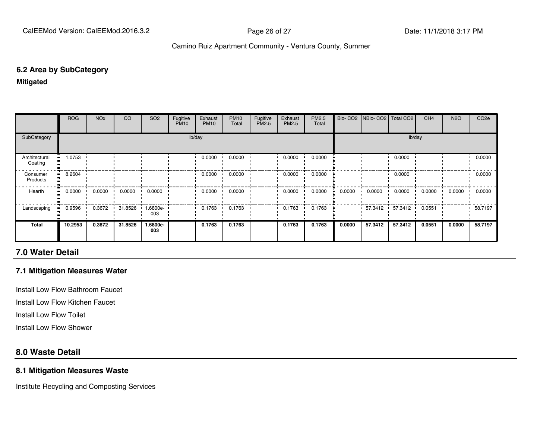#### **6.2 Area by SubCategory**

**Mitigated**

|                          | <b>ROG</b> | <b>NO<sub>x</sub></b> | <b>CO</b> | SO <sub>2</sub> | Fugitive<br><b>PM10</b> | Exhaust<br><b>PM10</b> | <b>PM10</b><br>Total | Fugitive<br>PM2.5 | Exhaust<br>PM2.5 | PM2.5<br>Total |        | Bio- CO2   NBio- CO2   Total CO2 |         | CH <sub>4</sub> | <b>N2O</b> | CO <sub>2e</sub> |
|--------------------------|------------|-----------------------|-----------|-----------------|-------------------------|------------------------|----------------------|-------------------|------------------|----------------|--------|----------------------------------|---------|-----------------|------------|------------------|
| SubCategory              |            |                       |           |                 |                         | lb/day                 |                      |                   |                  |                |        |                                  |         | lb/day          |            |                  |
| Architectural<br>Coating | 1.0753     |                       |           |                 |                         | 0.0000                 | 0.0000               |                   | 0.0000           | 0.0000         |        |                                  | 0.0000  |                 |            | 0.0000           |
| Consumer<br>Products     | 8.2604     |                       |           |                 |                         | 0.0000                 | 0.0000               |                   | 0.0000           | 0.0000         |        |                                  | 0.0000  |                 |            | 0.0000           |
| Hearth                   | 0.0000     | 0.0000                | 0.0000    | 0.0000          |                         | 0.0000                 | 0.0000               |                   | 0.0000           | 0.0000         | 0.0000 | 0.0000                           | 0.0000  | 0.0000          | 0.0000     | 0.0000           |
| Landscaping              | 0.9596     | 0.3672                | 31.8526   | .6800e-<br>003  |                         | 0.1763                 | 0.1763               |                   | 0.1763           | 0.1763         |        | 57.3412                          | 57.3412 | 0.0551          |            | 58.7197          |
| Total                    | 10.2953    | 0.3672                | 31.8526   | 1.6800e-<br>003 |                         | 0.1763                 | 0.1763               |                   | 0.1763           | 0.1763         | 0.0000 | 57.3412                          | 57.3412 | 0.0551          | 0.0000     | 58.7197          |

### **7.0 Water Detail**

#### **7.1 Mitigation Measures Water**

Install Low Flow Bathroom Faucet

Install Low Flow Kitchen Faucet

Install Low Flow Toilet

Install Low Flow Shower

### **8.0 Waste Detail**

#### **8.1 Mitigation Measures Waste**

Institute Recycling and Composting Services